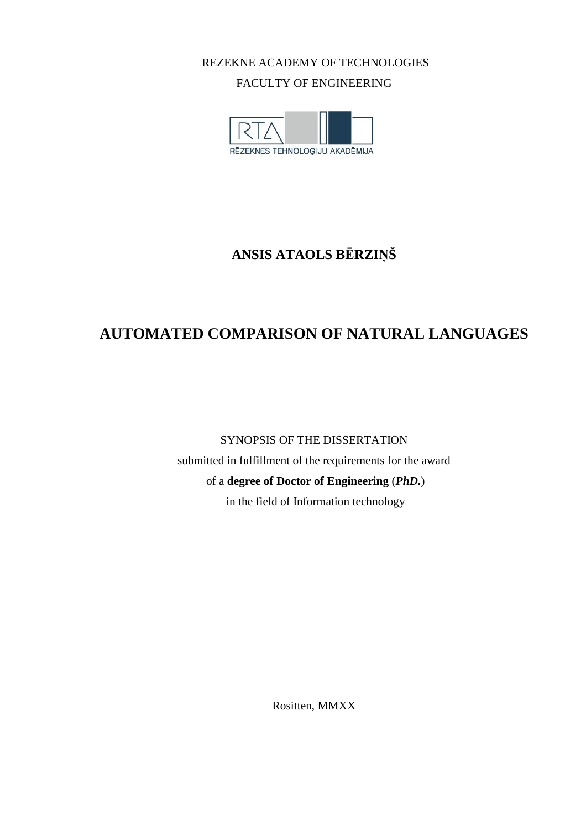REZEKNE ACADEMY OF TECHNOLOGIES FACULTY OF ENGINEERING



# **ANSIS ATAOLS BĒRZIŅŠ**

# **AUTOMATED COMPARISON OF NATURAL LANGUAGES**

SYNOPSIS OF THE DISSERTATION

submitted in fulfillment of the requirements for the award

of a **degree of Doctor of Engineering** (*PhD.*)

in the field of Information technology

Rositten, MMXX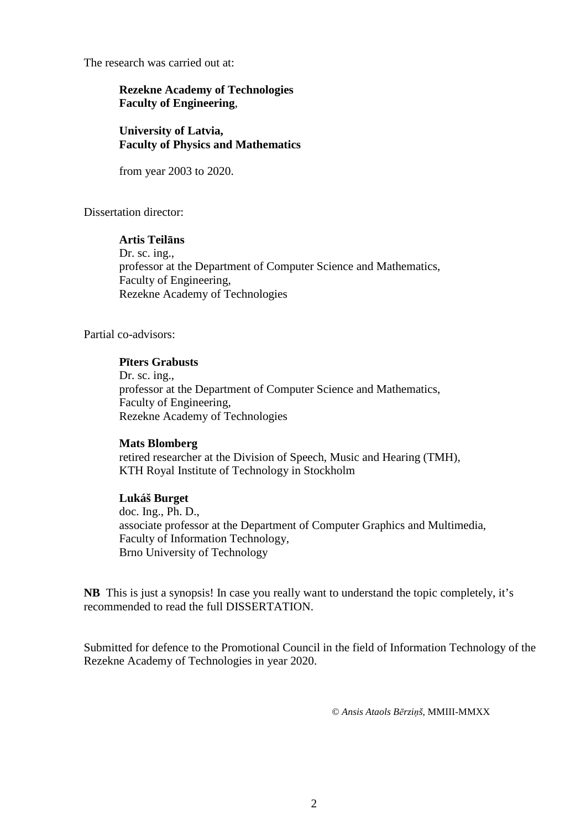The research was carried out at:

### **Rezekne Academy of Technologies Faculty of Engineering**,

### **University of Latvia, Faculty of Physics and Mathematics**

from year 2003 to 2020.

Dissertation director:

## **Artis Teilāns**

Dr. sc. ing., professor at the Department of Computer Science and Mathematics, Faculty of Engineering, Rezekne Academy of Technologies

Partial co-advisors:

## **Pīters Grabusts**

Dr. sc. ing., professor at the Department of Computer Science and Mathematics, Faculty of Engineering, Rezekne Academy of Technologies

#### **Mats Blomberg**

retired researcher at the Division of Speech, Music and Hearing (TMH), KTH Royal Institute of Technology in Stockholm

#### **Lukáš Burget**

doc. Ing., Ph. D., associate professor at the Department of Computer Graphics and Multimedia, Faculty of Information Technology, Brno University of Technology

**NB** This is just a synopsis! In case you really want to understand the topic completely, it's recommended to read the full DISSERTATION.

Submitted for defence to the Promotional Council in the field of Information Technology of the Rezekne Academy of Technologies in year 2020.

© *Ansis Ataols Bērziņš*, MMIII-MMXX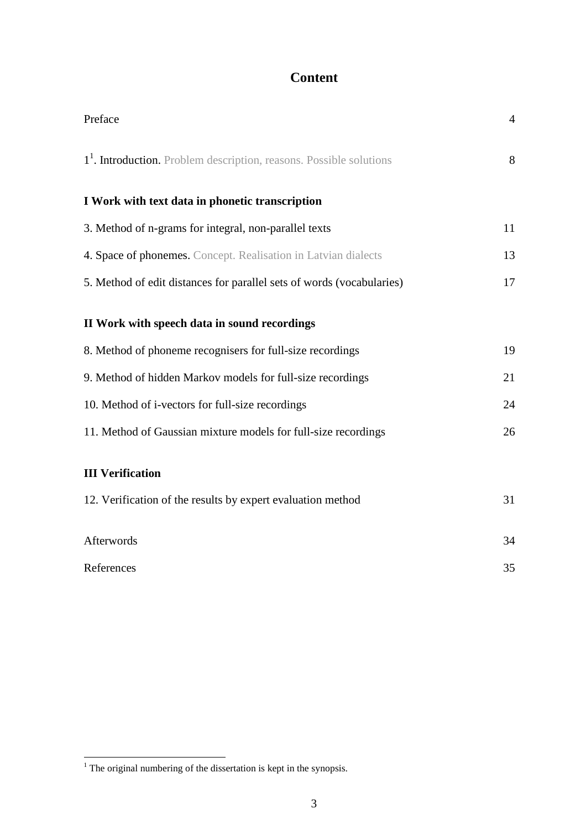# **Content**

| Preface                                                                         | $\overline{4}$ |
|---------------------------------------------------------------------------------|----------------|
| 1 <sup>1</sup> . Introduction. Problem description, reasons. Possible solutions | 8              |
| I Work with text data in phonetic transcription                                 |                |
| 3. Method of n-grams for integral, non-parallel texts                           | 11             |
| 4. Space of phonemes. Concept. Realisation in Latvian dialects                  | 13             |
| 5. Method of edit distances for parallel sets of words (vocabularies)           | 17             |
| II Work with speech data in sound recordings                                    |                |
| 8. Method of phoneme recognisers for full-size recordings                       | 19             |
| 9. Method of hidden Markov models for full-size recordings                      | 21             |
| 10. Method of i-vectors for full-size recordings                                | 24             |
| 11. Method of Gaussian mixture models for full-size recordings                  | 26             |
| <b>III Verification</b>                                                         |                |
| 12. Verification of the results by expert evaluation method                     | 31             |
| Afterwords                                                                      | 34             |
| References                                                                      | 35             |

<sup>&</sup>lt;sup>1</sup> The original numbering of the dissertation is kept in the synopsis.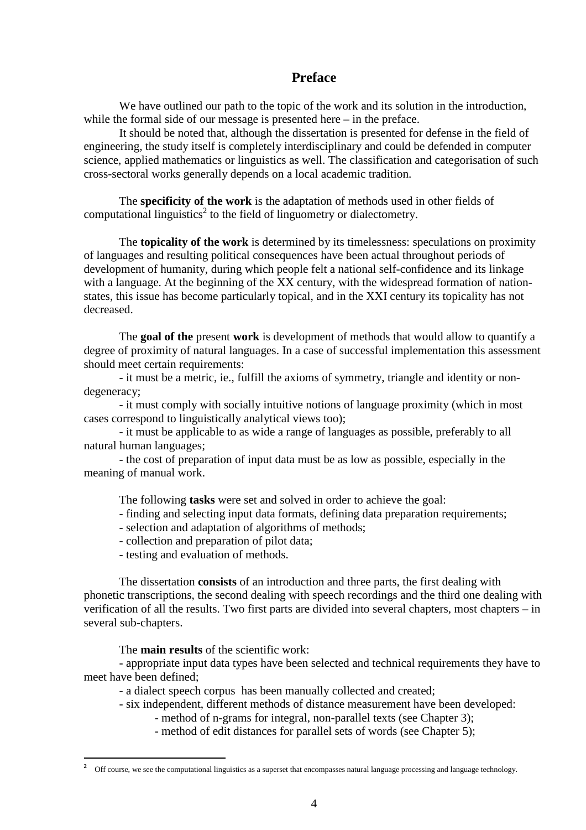# **Preface**

We have outlined our path to the topic of the work and its solution in the introduction, while the formal side of our message is presented here – in the preface.

 It should be noted that, although the dissertation is presented for defense in the field of engineering, the study itself is completely interdisciplinary and could be defended in computer science, applied mathematics or linguistics as well. The classification and categorisation of such cross-sectoral works generally depends on a local academic tradition.

 The **specificity of the work** is the adaptation of methods used in other fields of computational linguistics<sup>2</sup> to the field of linguometry or dialectometry.

The **topicality of the work** is determined by its timelessness: speculations on proximity of languages and resulting political consequences have been actual throughout periods of development of humanity, during which people felt a national self-confidence and its linkage with a language. At the beginning of the XX century, with the widespread formation of nationstates, this issue has become particularly topical, and in the XXI century its topicality has not decreased.

 The **goal of the** present **work** is development of methods that would allow to quantify a degree of proximity of natural languages. In a case of successful implementation this assessment should meet certain requirements:

 - it must be a metric, ie., fulfill the axioms of symmetry, triangle and identity or nondegeneracy;

- it must comply with socially intuitive notions of language proximity (which in most cases correspond to linguistically analytical views too);

 - it must be applicable to as wide a range of languages as possible, preferably to all natural human languages;

- the cost of preparation of input data must be as low as possible, especially in the meaning of manual work.

The following **tasks** were set and solved in order to achieve the goal:

- finding and selecting input data formats, defining data preparation requirements;
- selection and adaptation of algorithms of methods;
- collection and preparation of pilot data;
- testing and evaluation of methods.

The dissertation **consists** of an introduction and three parts, the first dealing with phonetic transcriptions, the second dealing with speech recordings and the third one dealing with verification of all the results. Two first parts are divided into several chapters, most chapters – in several sub-chapters.

The **main results** of the scientific work:

- appropriate input data types have been selected and technical requirements they have to meet have been defined;

- a dialect speech corpus has been manually collected and created;

- six independent, different methods of distance measurement have been developed:
	- method of n-grams for integral, non-parallel texts (see Chapter 3);
	- method of edit distances for parallel sets of words (see Chapter 5);

<sup>&</sup>lt;sup>2</sup> Off course, we see the computational linguistics as a superset that encompasses natural language processing and language technology.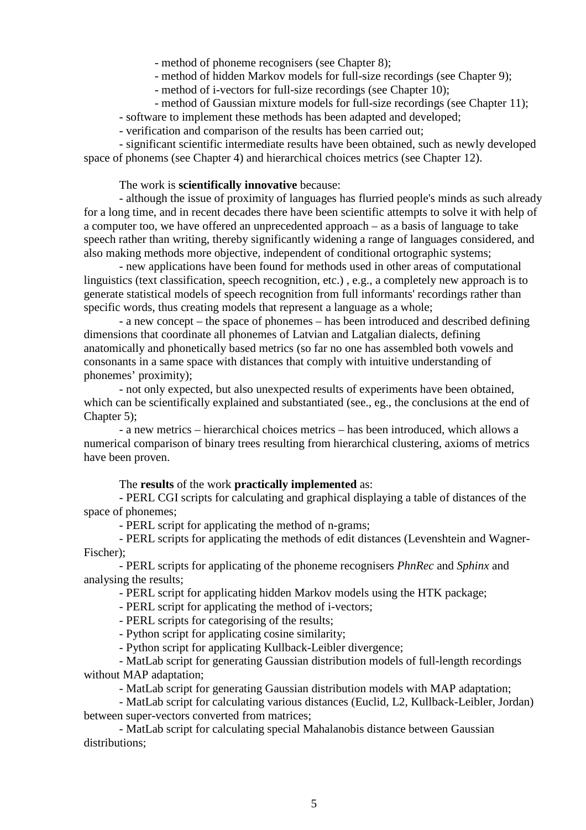- method of phoneme recognisers (see Chapter 8);
- method of hidden Markov models for full-size recordings (see Chapter 9);
- method of i-vectors for full-size recordings (see Chapter 10);
- method of Gaussian mixture models for full-size recordings (see Chapter 11);

- software to implement these methods has been adapted and developed;

- verification and comparison of the results has been carried out;

- significant scientific intermediate results have been obtained, such as newly developed space of phonems (see Chapter 4) and hierarchical choices metrics (see Chapter 12).

#### The work is **scientifically innovative** because:

 - although the issue of proximity of languages has flurried people's minds as such already for a long time, and in recent decades there have been scientific attempts to solve it with help of a computer too, we have offered an unprecedented approach – as a basis of language to take speech rather than writing, thereby significantly widening a range of languages considered, and also making methods more objective, independent of conditional ortographic systems;

 - new applications have been found for methods used in other areas of computational linguistics (text classification, speech recognition, etc.) , e.g., a completely new approach is to generate statistical models of speech recognition from full informants' recordings rather than specific words, thus creating models that represent a language as a whole;

 - a new concept – the space of phonemes – has been introduced and described defining dimensions that coordinate all phonemes of Latvian and Latgalian dialects, defining anatomically and phonetically based metrics (so far no one has assembled both vowels and consonants in a same space with distances that comply with intuitive understanding of phonemes' proximity);

- not only expected, but also unexpected results of experiments have been obtained, which can be scientifically explained and substantiated (see., eg., the conclusions at the end of Chapter 5):

 - a new metrics – hierarchical choices metrics – has been introduced, which allows a numerical comparison of binary trees resulting from hierarchical clustering, axioms of metrics have been proven.

The **results** of the work **practically implemented** as:

 - PERL CGI scripts for calculating and graphical displaying a table of distances of the space of phonemes;

- PERL script for applicating the method of n-grams;

 - PERL scripts for applicating the methods of edit distances (Levenshtein and Wagner-Fischer);

- PERL scripts for applicating of the phoneme recognisers *PhnRec* and *Sphinx* and analysing the results;

- PERL script for applicating hidden Markov models using the HTK package;

- PERL script for applicating the method of i-vectors;

- PERL scripts for categorising of the results;

- Python script for applicating cosine similarity;

- Python script for applicating Kullback-Leibler divergence;

- MatLab script for generating Gaussian distribution models of full-length recordings without MAP adaptation;

- MatLab script for generating Gaussian distribution models with MAP adaptation;

- MatLab script for calculating various distances (Euclid, L2, Kullback-Leibler, Jordan) between super-vectors converted from matrices;

- MatLab script for calculating special Mahalanobis distance between Gaussian distributions;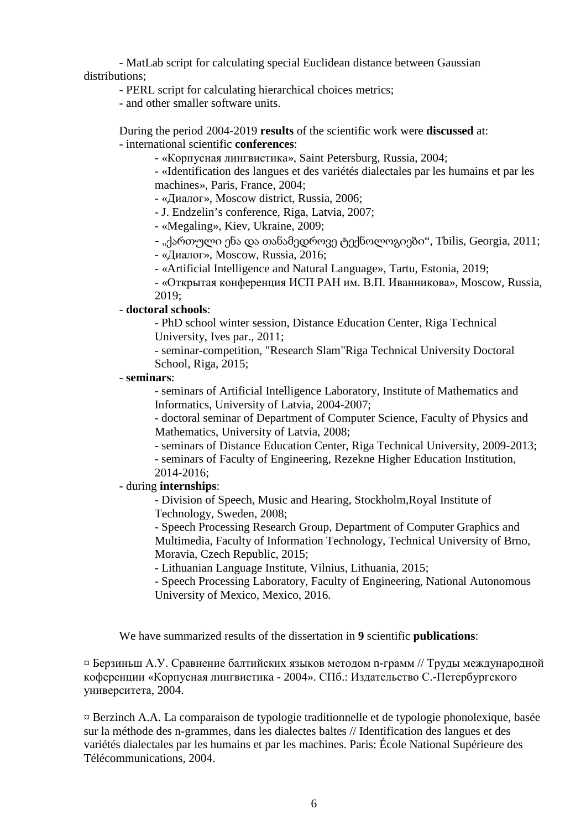- MatLab script for calculating special Euclidean distance between Gaussian distributions:

- PERL script for calculating hierarchical choices metrics;

- and other smaller software units.

During the period 2004-2019 **results** of the scientific work were **discussed** at: - international scientific **conferences**:

- «Корпусная лингвистика», Saint Petersburg, Russia, 2004;

- «Identification des langues et des variétés dialectales par les humains et par les machines», Paris, France, 2004;

- «Диалог», Moscow district, Russia, 2006;

- J. Endzelin's conference, Riga, Latvia, 2007;

- «Megaling», Kiev, Ukraine, 2009;

- "ქართული ენა და თანამედროვე ტექნოლოგიები", Tbilis, Georgia, 2011;

- «Диалог», Moscow, Russia, 2016;

- «Artificial Intelligence and Natural Language», Tartu, Estonia, 2019;

- «Открытая конференция ИСП РАН им. В.П. Иванникова», Moscow, Russia, 2019;

#### - **doctoral schools**:

- PhD school winter session, Distance Education Center, Riga Technical University, Ives par., 2011;

- seminar-competition, "Research Slam"Riga Technical University Doctoral School, Riga, 2015;

#### - **seminars**:

- seminars of Artificial Intelligence Laboratory, Institute of Mathematics and Informatics, University of Latvia, 2004-2007;

- doctoral seminar of Department of Computer Science, Faculty of Physics and Mathematics, University of Latvia, 2008;

- seminars of Distance Education Center, Riga Technical University, 2009-2013;

- seminars of Faculty of Engineering, Rezekne Higher Education Institution, 2014-2016;

#### - during **internships**:

- Division of Speech, Music and Hearing, Stockholm,Royal Institute of Technology, Sweden, 2008;

- Speech Processing Research Group, Department of Computer Graphics and Multimedia, Faculty of Information Technology, Technical University of Brno, Moravia, Czech Republic, 2015;

- Lithuanian Language Institute, Vilnius, Lithuania, 2015;

- Speech Processing Laboratory, Faculty of Engineering, National Autonomous University of Mexico, Mexico, 2016.

We have summarized results of the dissertation in **9** scientific **publications**:

¤ Берзиньш А.У. Сравнение балтийских языков методом n-грамм // Труды международной коференции «Корпусная лингвистика - 2004». СПб.: Издательство С.-Петербургского университета, 2004.

¤ Berzinch A.A. La comparaison de typologie traditionnelle et de typologie phonolexique, basée sur la méthode des n-grammes, dans les dialectes baltes // Identification des langues et des variétés dialectales par les humains et par les machines. Paris: École National Supérieure des Télécommunications, 2004.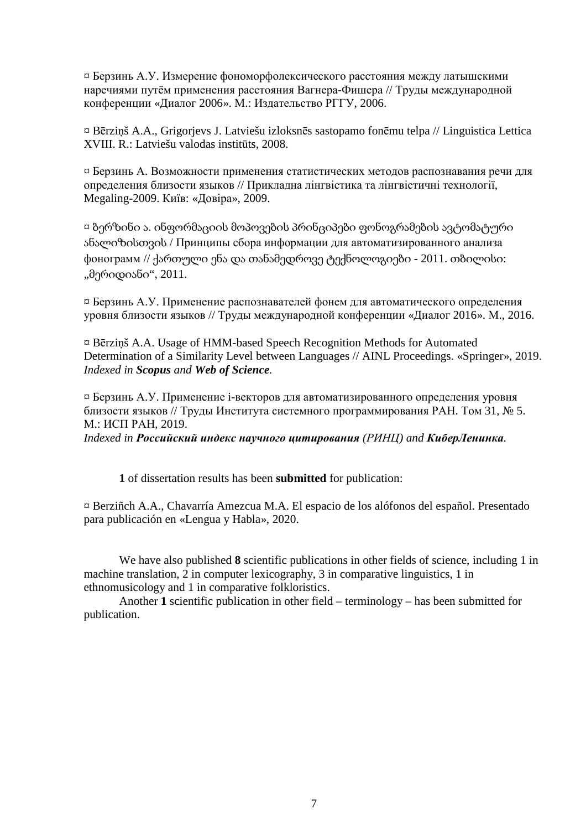¤ Берзинь А.У. Измерение фономорфолексического расстояния между латышскими наречиями путём применения расстояния Вагнера-Фишера // Труды международной конференции «Диалог 2006». М.: Издательство РГГУ, 2006.

¤ Bērziņš A.A., Grigorjevs J. Latviešu izloksnēs sastopamo fonēmu telpa // Linguistica Lettica XVIII. R.: Latviešu valodas institūts, 2008.

¤ Берзинь А. Возможности применения статистических методов распознавания речи для определения близости языков // Прикладна лінгвістика та лінгвістичні технології, Megaling-2009. Київ: «Довіра», 2009.

¤ ბერზინი ა. ინფორმაციის მოპოვების პრინციპები ფონოგრამების ავტომატური ანალიზისთვის / Принципы сбора информации для автоматизированного анализа фонограмм // ქართული ენა და თანამედროვე ტექნოლოგიები - 2011. თბილისი: "მერიდიანი", 2011.

¤ Берзинь А.У. Применение распознавателей фонем для автоматического определения уровня близости языков // Труды международной конференции «Диалог 2016». М., 2016.

¤ Bērziņš A.A. Usage of HMM-based Speech Recognition Methods for Automated Determination of a Similarity Level between Languages // AINL Proceedings. «Springer», 2019. *Indexed in Scopus and Web of Science.*

¤ Берзинь А.У. Применение i-векторов для автоматизированного определения уровня близости языков // Труды Института системного программирования РАН. Том 31, № 5. М.: ИСП РАН, 2019.

*Indexed in Российский индекс научного цитирования (РИНЦ) and КиберЛенинка.* 

**1** of dissertation results has been **submitted** for publication:

¤ Berziñch A.A., Chavarría Amezcua M.A. El espacio de los alófonos del español. Presentado para publicación en «Lengua y Habla», 2020.

We have also published **8** scientific publications in other fields of science, including 1 in machine translation, 2 in computer lexicography, 3 in comparative linguistics, 1 in ethnomusicology and 1 in comparative folkloristics.

 Another **1** scientific publication in other field – terminology – has been submitted for publication.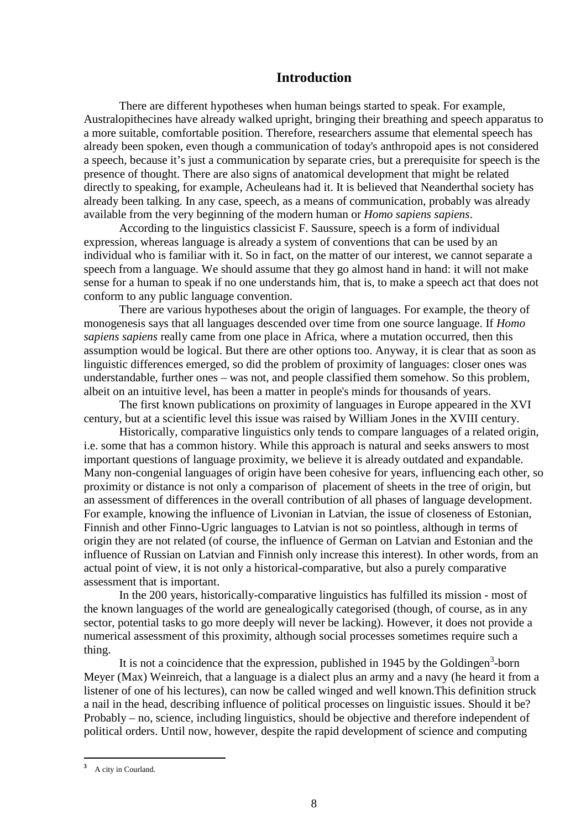# **Introduction**

There are different hypotheses when human beings started to speak. For example, Australopithecines have already walked upright, bringing their breathing and speech apparatus to a more suitable, comfortable position. Therefore, researchers assume that elemental speech has already been spoken, even though a communication of today's anthropoid apes is not considered a speech, because it's just a communication by separate cries, but a prerequisite for speech is the presence of thought. There are also signs of anatomical development that might be related directly to speaking, for example, Acheuleans had it. It is believed that Neanderthal society has already been talking. In any case, speech, as a means of communication, probably was already available from the very beginning of the modern human or *Homo sapiens sapiens*.

According to the linguistics classicist F. Saussure, speech is a form of individual expression, whereas language is already a system of conventions that can be used by an individual who is familiar with it. So in fact, on the matter of our interest, we cannot separate a speech from a language. We should assume that they go almost hand in hand: it will not make sense for a human to speak if no one understands him, that is, to make a speech act that does not conform to any public language convention.

There are various hypotheses about the origin of languages. For example, the theory of monogenesis says that all languages descended over time from one source language. If *Homo sapiens sapiens* really came from one place in Africa, where a mutation occurred, then this assumption would be logical. But there are other options too. Anyway, it is clear that as soon as linguistic differences emerged, so did the problem of proximity of languages: closer ones was understandable, further ones – was not, and people classified them somehow. So this problem, albeit on an intuitive level, has been a matter in people's minds for thousands of years.

The first known publications on proximity of languages in Europe appeared in the XVI century, but at a scientific level this issue was raised by William Jones in the XVIII century.

Historically, comparative linguistics only tends to compare languages of a related origin, i.e. some that has a common history. While this approach is natural and seeks answers to most important questions of language proximity, we believe it is already outdated and expandable. Many non-congenial languages of origin have been cohesive for years, influencing each other, so proximity or distance is not only a comparison of placement of sheets in the tree of origin, but an assessment of differences in the overall contribution of all phases of language development. For example, knowing the influence of Livonian in Latvian, the issue of closeness of Estonian, Finnish and other Finno-Ugric languages to Latvian is not so pointless, although in terms of origin they are not related (of course, the influence of German on Latvian and Estonian and the influence of Russian on Latvian and Finnish only increase this interest). In other words, from an actual point of view, it is not only a historical-comparative, but also a purely comparative assessment that is important.

In the 200 years, historically-comparative linguistics has fulfilled its mission - most of the known languages of the world are genealogically categorised (though, of course, as in any sector, potential tasks to go more deeply will never be lacking). However, it does not provide a numerical assessment of this proximity, although social processes sometimes require such a thing.

It is not a coincidence that the expression, published in 1945 by the Goldingen<sup>3</sup>-born Meyer (Max) Weinreich, that a language is a dialect plus an army and a navy (he heard it from a listener of one of his lectures), can now be called winged and well known.This definition struck a nail in the head, describing influence of political processes on linguistic issues. Should it be? Probably – no, science, including linguistics, should be objective and therefore independent of political orders. Until now, however, despite the rapid development of science and computing

 $\overline{a}$ 

**<sup>3</sup>** A city in Courland.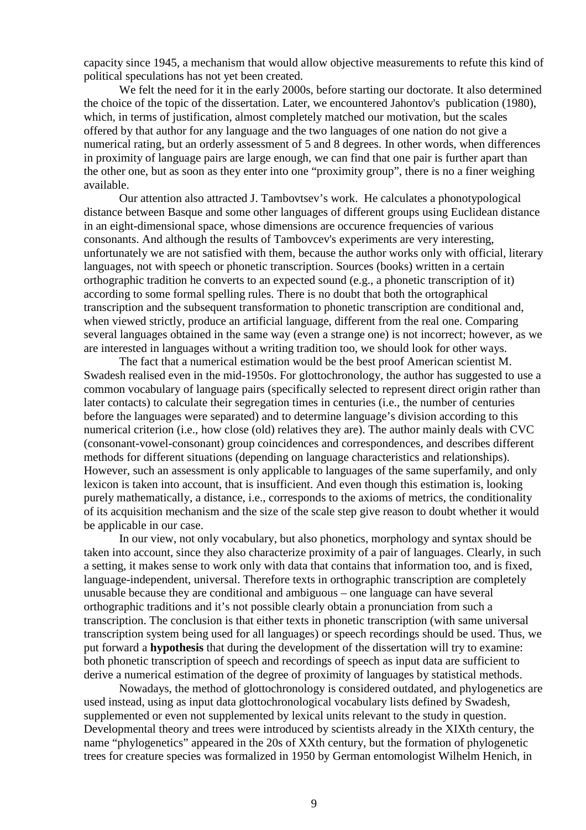capacity since 1945, a mechanism that would allow objective measurements to refute this kind of political speculations has not yet been created.

We felt the need for it in the early 2000s, before starting our doctorate. It also determined the choice of the topic of the dissertation. Later, we encountered Jahontov's publication (1980), which, in terms of justification, almost completely matched our motivation, but the scales offered by that author for any language and the two languages of one nation do not give a numerical rating, but an orderly assessment of 5 and 8 degrees. In other words, when differences in proximity of language pairs are large enough, we can find that one pair is further apart than the other one, but as soon as they enter into one "proximity group", there is no a finer weighing available.

Our attention also attracted J. Tambovtsev's work. He calculates a phonotypological distance between Basque and some other languages of different groups using Euclidean distance in an eight-dimensional space, whose dimensions are occurence frequencies of various consonants. And although the results of Tambovcev's experiments are very interesting, unfortunately we are not satisfied with them, because the author works only with official, literary languages, not with speech or phonetic transcription. Sources (books) written in a certain orthographic tradition he converts to an expected sound (e.g., a phonetic transcription of it) according to some formal spelling rules. There is no doubt that both the ortographical transcription and the subsequent transformation to phonetic transcription are conditional and, when viewed strictly, produce an artificial language, different from the real one. Comparing several languages obtained in the same way (even a strange one) is not incorrect; however, as we are interested in languages without a writing tradition too, we should look for other ways.

The fact that a numerical estimation would be the best proof American scientist M. Swadesh realised even in the mid-1950s. For glottochronology, the author has suggested to use a common vocabulary of language pairs (specifically selected to represent direct origin rather than later contacts) to calculate their segregation times in centuries (i.e., the number of centuries before the languages were separated) and to determine language's division according to this numerical criterion (i.e., how close (old) relatives they are). The author mainly deals with CVC (consonant-vowel-consonant) group coincidences and correspondences, and describes different methods for different situations (depending on language characteristics and relationships). However, such an assessment is only applicable to languages of the same superfamily, and only lexicon is taken into account, that is insufficient. And even though this estimation is, looking purely mathematically, a distance, i.e., corresponds to the axioms of metrics, the conditionality of its acquisition mechanism and the size of the scale step give reason to doubt whether it would be applicable in our case.

In our view, not only vocabulary, but also phonetics, morphology and syntax should be taken into account, since they also characterize proximity of a pair of languages. Clearly, in such a setting, it makes sense to work only with data that contains that information too, and is fixed, language-independent, universal. Therefore texts in orthographic transcription are completely unusable because they are conditional and ambiguous – one language can have several orthographic traditions and it's not possible clearly obtain a pronunciation from such a transcription. The conclusion is that either texts in phonetic transcription (with same universal transcription system being used for all languages) or speech recordings should be used. Thus, we put forward a **hypothesis** that during the development of the dissertation will try to examine: both phonetic transcription of speech and recordings of speech as input data are sufficient to derive a numerical estimation of the degree of proximity of languages by statistical methods.

Nowadays, the method of glottochronology is considered outdated, and phylogenetics are used instead, using as input data glottochronological vocabulary lists defined by Swadesh, supplemented or even not supplemented by lexical units relevant to the study in question. Developmental theory and trees were introduced by scientists already in the XIXth century, the name "phylogenetics" appeared in the 20s of XXth century, but the formation of phylogenetic trees for creature species was formalized in 1950 by German entomologist Wilhelm Henich, in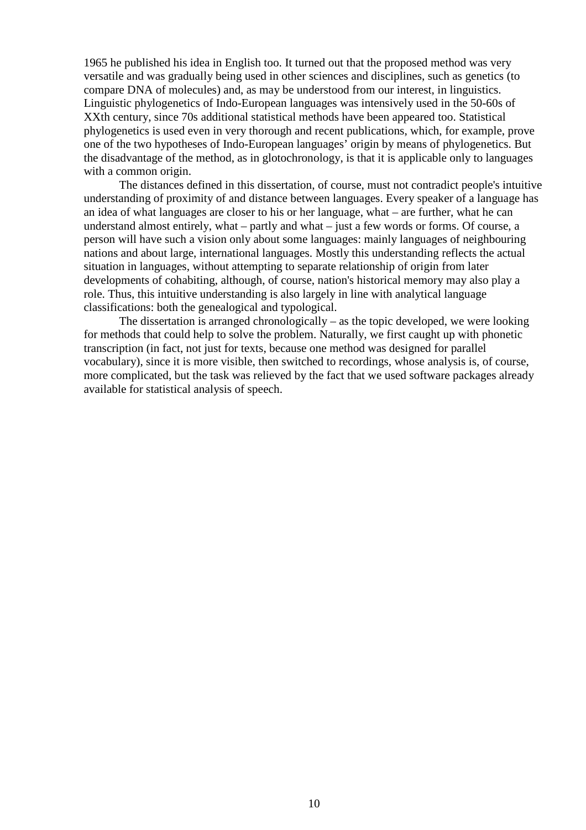1965 he published his idea in English too. It turned out that the proposed method was very versatile and was gradually being used in other sciences and disciplines, such as genetics (to compare DNA of molecules) and, as may be understood from our interest, in linguistics. Linguistic phylogenetics of Indo-European languages was intensively used in the 50-60s of XXth century, since 70s additional statistical methods have been appeared too. Statistical phylogenetics is used even in very thorough and recent publications, which, for example, prove one of the two hypotheses of Indo-European languages' origin by means of phylogenetics. But the disadvantage of the method, as in glotochronology, is that it is applicable only to languages with a common origin.

The distances defined in this dissertation, of course, must not contradict people's intuitive understanding of proximity of and distance between languages. Every speaker of a language has an idea of what languages are closer to his or her language, what – are further, what he can understand almost entirely, what – partly and what – just a few words or forms. Of course, a person will have such a vision only about some languages: mainly languages of neighbouring nations and about large, international languages. Mostly this understanding reflects the actual situation in languages, without attempting to separate relationship of origin from later developments of cohabiting, although, of course, nation's historical memory may also play a role. Thus, this intuitive understanding is also largely in line with analytical language classifications: both the genealogical and typological.

The dissertation is arranged chronologically – as the topic developed, we were looking for methods that could help to solve the problem. Naturally, we first caught up with phonetic transcription (in fact, not just for texts, because one method was designed for parallel vocabulary), since it is more visible, then switched to recordings, whose analysis is, of course, more complicated, but the task was relieved by the fact that we used software packages already available for statistical analysis of speech.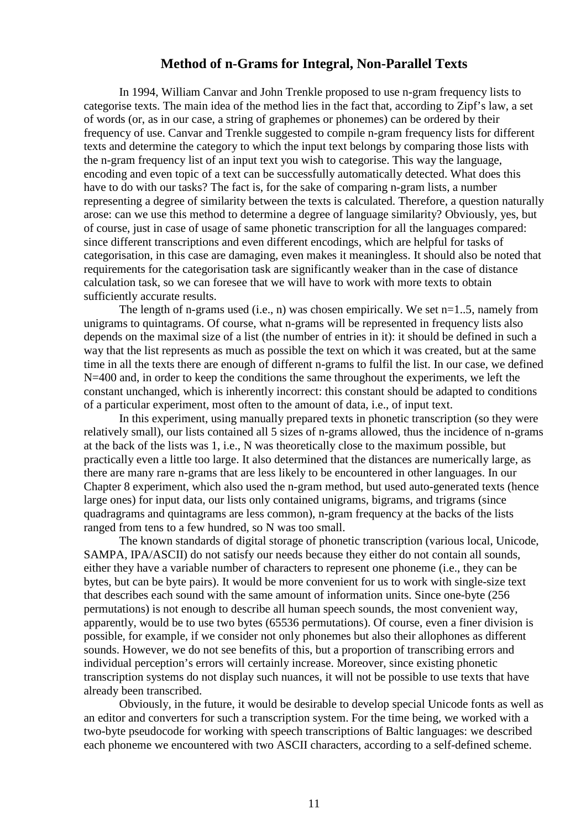## **Method of n-Grams for Integral, Non-Parallel Texts**

In 1994, William Canvar and John Trenkle proposed to use n-gram frequency lists to categorise texts. The main idea of the method lies in the fact that, according to Zipf's law, a set of words (or, as in our case, a string of graphemes or phonemes) can be ordered by their frequency of use. Canvar and Trenkle suggested to compile n-gram frequency lists for different texts and determine the category to which the input text belongs by comparing those lists with the n-gram frequency list of an input text you wish to categorise. This way the language, encoding and even topic of a text can be successfully automatically detected. What does this have to do with our tasks? The fact is, for the sake of comparing n-gram lists, a number representing a degree of similarity between the texts is calculated. Therefore, a question naturally arose: can we use this method to determine a degree of language similarity? Obviously, yes, but of course, just in case of usage of same phonetic transcription for all the languages compared: since different transcriptions and even different encodings, which are helpful for tasks of categorisation, in this case are damaging, even makes it meaningless. It should also be noted that requirements for the categorisation task are significantly weaker than in the case of distance calculation task, so we can foresee that we will have to work with more texts to obtain sufficiently accurate results.

The length of n-grams used (i.e., n) was chosen empirically. We set  $n=1...5$ , namely from unigrams to quintagrams. Of course, what n-grams will be represented in frequency lists also depends on the maximal size of a list (the number of entries in it): it should be defined in such a way that the list represents as much as possible the text on which it was created, but at the same time in all the texts there are enough of different n-grams to fulfil the list. In our case, we defined N=400 and, in order to keep the conditions the same throughout the experiments, we left the constant unchanged, which is inherently incorrect: this constant should be adapted to conditions of a particular experiment, most often to the amount of data, i.e., of input text.

In this experiment, using manually prepared texts in phonetic transcription (so they were relatively small), our lists contained all 5 sizes of n-grams allowed, thus the incidence of n-grams at the back of the lists was 1, i.e., N was theoretically close to the maximum possible, but practically even a little too large. It also determined that the distances are numerically large, as there are many rare n-grams that are less likely to be encountered in other languages. In our Chapter 8 experiment, which also used the n-gram method, but used auto-generated texts (hence large ones) for input data, our lists only contained unigrams, bigrams, and trigrams (since quadragrams and quintagrams are less common), n-gram frequency at the backs of the lists ranged from tens to a few hundred, so N was too small.

The known standards of digital storage of phonetic transcription (various local, Unicode, SAMPA, IPA/ASCII) do not satisfy our needs because they either do not contain all sounds, either they have a variable number of characters to represent one phoneme (i.e., they can be bytes, but can be byte pairs). It would be more convenient for us to work with single-size text that describes each sound with the same amount of information units. Since one-byte (256 permutations) is not enough to describe all human speech sounds, the most convenient way, apparently, would be to use two bytes (65536 permutations). Of course, even a finer division is possible, for example, if we consider not only phonemes but also their allophones as different sounds. However, we do not see benefits of this, but a proportion of transcribing errors and individual perception's errors will certainly increase. Moreover, since existing phonetic transcription systems do not display such nuances, it will not be possible to use texts that have already been transcribed.

Obviously, in the future, it would be desirable to develop special Unicode fonts as well as an editor and converters for such a transcription system. For the time being, we worked with a two-byte pseudocode for working with speech transcriptions of Baltic languages: we described each phoneme we encountered with two ASCII characters, according to a self-defined scheme.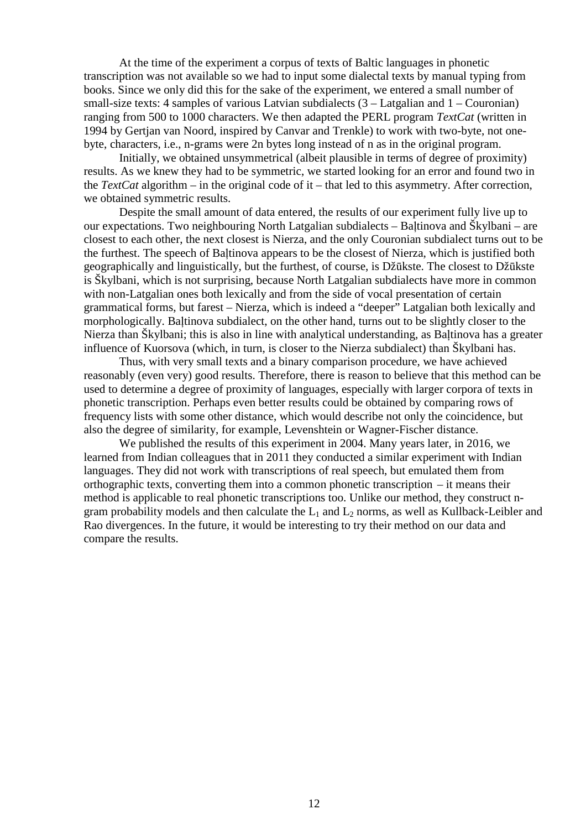At the time of the experiment a corpus of texts of Baltic languages in phonetic transcription was not available so we had to input some dialectal texts by manual typing from books. Since we only did this for the sake of the experiment, we entered a small number of small-size texts: 4 samples of various Latvian subdialects (3 – Latgalian and 1 – Couronian) ranging from 500 to 1000 characters. We then adapted the PERL program *TextCat* (written in 1994 by Gertjan van Noord, inspired by Canvar and Trenkle) to work with two-byte, not onebyte, characters, i.e., n-grams were 2n bytes long instead of n as in the original program.

Initially, we obtained unsymmetrical (albeit plausible in terms of degree of proximity) results. As we knew they had to be symmetric, we started looking for an error and found two in the *TextCat* algorithm – in the original code of it – that led to this asymmetry. After correction, we obtained symmetric results.

Despite the small amount of data entered, the results of our experiment fully live up to our expectations. Two neighbouring North Latgalian subdialects – Baļtinova and Škylbani – are closest to each other, the next closest is Nierza, and the only Couronian subdialect turns out to be the furthest. The speech of Baļtinova appears to be the closest of Nierza, which is justified both geographically and linguistically, but the furthest, of course, is Džūkste. The closest to Džūkste is Škylbani, which is not surprising, because North Latgalian subdialects have more in common with non-Latgalian ones both lexically and from the side of vocal presentation of certain grammatical forms, but farest – Nierza, which is indeed a "deeper" Latgalian both lexically and morphologically. Baļtinova subdialect, on the other hand, turns out to be slightly closer to the Nierza than Škylbani; this is also in line with analytical understanding, as Baļtinova has a greater influence of Kuorsova (which, in turn, is closer to the Nierza subdialect) than Škylbani has.

 Thus, with very small texts and a binary comparison procedure, we have achieved reasonably (even very) good results. Therefore, there is reason to believe that this method can be used to determine a degree of proximity of languages, especially with larger corpora of texts in phonetic transcription. Perhaps even better results could be obtained by comparing rows of frequency lists with some other distance, which would describe not only the coincidence, but also the degree of similarity, for example, Levenshtein or Wagner-Fischer distance.

 We published the results of this experiment in 2004. Many years later, in 2016, we learned from Indian colleagues that in 2011 they conducted a similar experiment with Indian languages. They did not work with transcriptions of real speech, but emulated them from orthographic texts, converting them into a common phonetic transcription – it means their method is applicable to real phonetic transcriptions too. Unlike our method, they construct ngram probability models and then calculate the  $L_1$  and  $L_2$  norms, as well as Kullback-Leibler and Rao divergences. In the future, it would be interesting to try their method on our data and compare the results.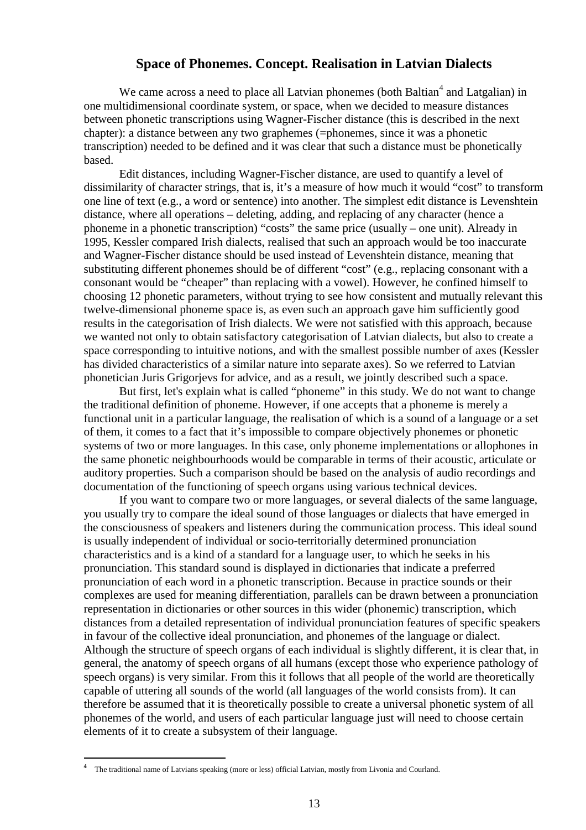## **Space of Phonemes. Concept. Realisation in Latvian Dialects**

We came across a need to place all Latvian phonemes (both Baltian<sup>4</sup> and Latgalian) in one multidimensional coordinate system, or space, when we decided to measure distances between phonetic transcriptions using Wagner-Fischer distance (this is described in the next chapter): a distance between any two graphemes (=phonemes, since it was a phonetic transcription) needed to be defined and it was clear that such a distance must be phonetically based.

Edit distances, including Wagner-Fischer distance, are used to quantify a level of dissimilarity of character strings, that is, it's a measure of how much it would "cost" to transform one line of text (e.g., a word or sentence) into another. The simplest edit distance is Levenshtein distance, where all operations – deleting, adding, and replacing of any character (hence a phoneme in a phonetic transcription) "costs" the same price (usually – one unit). Already in 1995, Kessler compared Irish dialects, realised that such an approach would be too inaccurate and Wagner-Fischer distance should be used instead of Levenshtein distance, meaning that substituting different phonemes should be of different "cost" (e.g., replacing consonant with a consonant would be "cheaper" than replacing with a vowel). However, he confined himself to choosing 12 phonetic parameters, without trying to see how consistent and mutually relevant this twelve-dimensional phoneme space is, as even such an approach gave him sufficiently good results in the categorisation of Irish dialects. We were not satisfied with this approach, because we wanted not only to obtain satisfactory categorisation of Latvian dialects, but also to create a space corresponding to intuitive notions, and with the smallest possible number of axes (Kessler has divided characteristics of a similar nature into separate axes). So we referred to Latvian phonetician Juris Grigorjevs for advice, and as a result, we jointly described such a space.

But first, let's explain what is called "phoneme" in this study. We do not want to change the traditional definition of phoneme. However, if one accepts that a phoneme is merely a functional unit in a particular language, the realisation of which is a sound of a language or a set of them, it comes to a fact that it's impossible to compare objectively phonemes or phonetic systems of two or more languages. In this case, only phoneme implementations or allophones in the same phonetic neighbourhoods would be comparable in terms of their acoustic, articulate or auditory properties. Such a comparison should be based on the analysis of audio recordings and documentation of the functioning of speech organs using various technical devices.

If you want to compare two or more languages, or several dialects of the same language, you usually try to compare the ideal sound of those languages or dialects that have emerged in the consciousness of speakers and listeners during the communication process. This ideal sound is usually independent of individual or socio-territorially determined pronunciation characteristics and is a kind of a standard for a language user, to which he seeks in his pronunciation. This standard sound is displayed in dictionaries that indicate a preferred pronunciation of each word in a phonetic transcription. Because in practice sounds or their complexes are used for meaning differentiation, parallels can be drawn between a pronunciation representation in dictionaries or other sources in this wider (phonemic) transcription, which distances from a detailed representation of individual pronunciation features of specific speakers in favour of the collective ideal pronunciation, and phonemes of the language or dialect. Although the structure of speech organs of each individual is slightly different, it is clear that, in general, the anatomy of speech organs of all humans (except those who experience pathology of speech organs) is very similar. From this it follows that all people of the world are theoretically capable of uttering all sounds of the world (all languages of the world consists from). It can therefore be assumed that it is theoretically possible to create a universal phonetic system of all phonemes of the world, and users of each particular language just will need to choose certain elements of it to create a subsystem of their language.

 $\overline{a}$ 

**<sup>4</sup>** The traditional name of Latvians speaking (more or less) official Latvian, mostly from Livonia and Courland.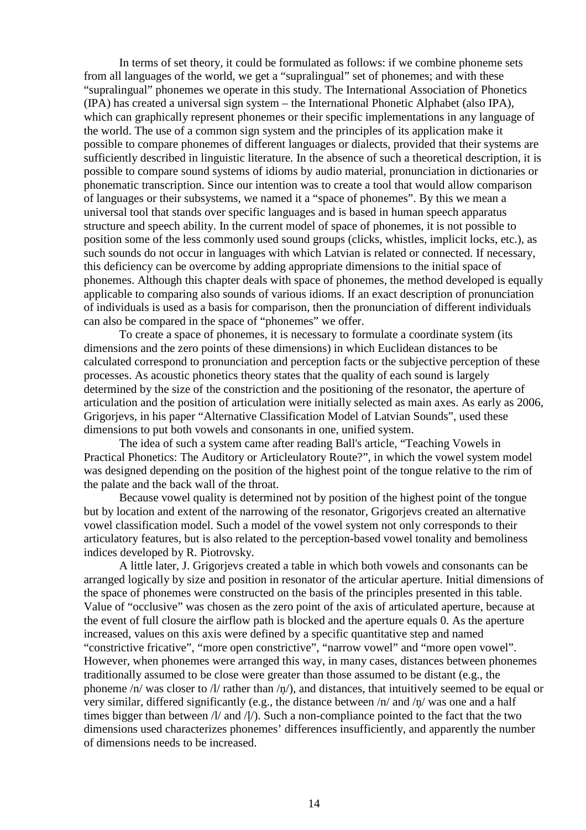In terms of set theory, it could be formulated as follows: if we combine phoneme sets from all languages of the world, we get a "supralingual" set of phonemes; and with these "supralingual" phonemes we operate in this study. The International Association of Phonetics (IPA) has created a universal sign system – the International Phonetic Alphabet (also IPA), which can graphically represent phonemes or their specific implementations in any language of the world. The use of a common sign system and the principles of its application make it possible to compare phonemes of different languages or dialects, provided that their systems are sufficiently described in linguistic literature. In the absence of such a theoretical description, it is possible to compare sound systems of idioms by audio material, pronunciation in dictionaries or phonematic transcription. Since our intention was to create a tool that would allow comparison of languages or their subsystems, we named it a "space of phonemes". By this we mean a universal tool that stands over specific languages and is based in human speech apparatus structure and speech ability. In the current model of space of phonemes, it is not possible to position some of the less commonly used sound groups (clicks, whistles, implicit locks, etc.), as such sounds do not occur in languages with which Latvian is related or connected. If necessary, this deficiency can be overcome by adding appropriate dimensions to the initial space of phonemes. Although this chapter deals with space of phonemes, the method developed is equally applicable to comparing also sounds of various idioms. If an exact description of pronunciation of individuals is used as a basis for comparison, then the pronunciation of different individuals can also be compared in the space of "phonemes" we offer.

To create a space of phonemes, it is necessary to formulate a coordinate system (its dimensions and the zero points of these dimensions) in which Euclidean distances to be calculated correspond to pronunciation and perception facts or the subjective perception of these processes. As acoustic phonetics theory states that the quality of each sound is largely determined by the size of the constriction and the positioning of the resonator, the aperture of articulation and the position of articulation were initially selected as main axes. As early as 2006, Grigorievs, in his paper "Alternative Classification Model of Latvian Sounds", used these dimensions to put both vowels and consonants in one, unified system.

The idea of such a system came after reading Ball's article, "Teaching Vowels in Practical Phonetics: The Auditory or Articleulatory Route?", in which the vowel system model was designed depending on the position of the highest point of the tongue relative to the rim of the palate and the back wall of the throat.

Because vowel quality is determined not by position of the highest point of the tongue but by location and extent of the narrowing of the resonator, Grigorjevs created an alternative vowel classification model. Such a model of the vowel system not only corresponds to their articulatory features, but is also related to the perception-based vowel tonality and bemoliness indices developed by R. Piotrovsky.

A little later, J. Grigorjevs created a table in which both vowels and consonants can be arranged logically by size and position in resonator of the articular aperture. Initial dimensions of the space of phonemes were constructed on the basis of the principles presented in this table. Value of "occlusive" was chosen as the zero point of the axis of articulated aperture, because at the event of full closure the airflow path is blocked and the aperture equals 0. As the aperture increased, values on this axis were defined by a specific quantitative step and named "constrictive fricative", "more open constrictive", "narrow vowel" and "more open vowel". However, when phonemes were arranged this way, in many cases, distances between phonemes traditionally assumed to be close were greater than those assumed to be distant (e.g., the phoneme /n/ was closer to /l/ rather than /ņ/), and distances, that intuitively seemed to be equal or very similar, differed significantly (e.g., the distance between /n/ and /ņ/ was one and a half times bigger than between  $\frac{1}{a}$  and  $\frac{1}{b}$ . Such a non-compliance pointed to the fact that the two dimensions used characterizes phonemes' differences insufficiently, and apparently the number of dimensions needs to be increased.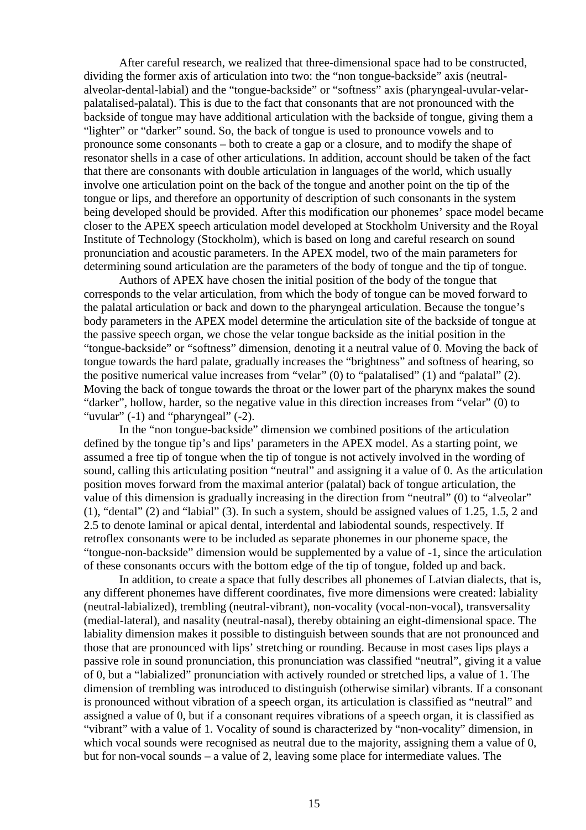After careful research, we realized that three-dimensional space had to be constructed, dividing the former axis of articulation into two: the "non tongue-backside" axis (neutralalveolar-dental-labial) and the "tongue-backside" or "softness" axis (pharyngeal-uvular-velarpalatalised-palatal). This is due to the fact that consonants that are not pronounced with the backside of tongue may have additional articulation with the backside of tongue, giving them a "lighter" or "darker" sound. So, the back of tongue is used to pronounce vowels and to pronounce some consonants – both to create a gap or a closure, and to modify the shape of resonator shells in a case of other articulations. In addition, account should be taken of the fact that there are consonants with double articulation in languages of the world, which usually involve one articulation point on the back of the tongue and another point on the tip of the tongue or lips, and therefore an opportunity of description of such consonants in the system being developed should be provided. After this modification our phonemes' space model became closer to the APEX speech articulation model developed at Stockholm University and the Royal Institute of Technology (Stockholm), which is based on long and careful research on sound pronunciation and acoustic parameters. In the APEX model, two of the main parameters for determining sound articulation are the parameters of the body of tongue and the tip of tongue.

Authors of APEX have chosen the initial position of the body of the tongue that corresponds to the velar articulation, from which the body of tongue can be moved forward to the palatal articulation or back and down to the pharyngeal articulation. Because the tongue's body parameters in the APEX model determine the articulation site of the backside of tongue at the passive speech organ, we chose the velar tongue backside as the initial position in the "tongue-backside" or "softness" dimension, denoting it a neutral value of 0. Moving the back of tongue towards the hard palate, gradually increases the "brightness" and softness of hearing, so the positive numerical value increases from "velar" (0) to "palatalised" (1) and "palatal" (2). Moving the back of tongue towards the throat or the lower part of the pharynx makes the sound "darker", hollow, harder, so the negative value in this direction increases from "velar" (0) to "uvular" (-1) and "pharyngeal" (-2).

 In the "non tongue-backside" dimension we combined positions of the articulation defined by the tongue tip's and lips' parameters in the APEX model. As a starting point, we assumed a free tip of tongue when the tip of tongue is not actively involved in the wording of sound, calling this articulating position "neutral" and assigning it a value of 0. As the articulation position moves forward from the maximal anterior (palatal) back of tongue articulation, the value of this dimension is gradually increasing in the direction from "neutral" (0) to "alveolar" (1), "dental" (2) and "labial" (3). In such a system, should be assigned values of 1.25, 1.5, 2 and 2.5 to denote laminal or apical dental, interdental and labiodental sounds, respectively. If retroflex consonants were to be included as separate phonemes in our phoneme space, the "tongue-non-backside" dimension would be supplemented by a value of -1, since the articulation of these consonants occurs with the bottom edge of the tip of tongue, folded up and back.

In addition, to create a space that fully describes all phonemes of Latvian dialects, that is, any different phonemes have different coordinates, five more dimensions were created: labiality (neutral-labialized), trembling (neutral-vibrant), non-vocality (vocal-non-vocal), transversality (medial-lateral), and nasality (neutral-nasal), thereby obtaining an eight-dimensional space. The labiality dimension makes it possible to distinguish between sounds that are not pronounced and those that are pronounced with lips' stretching or rounding. Because in most cases lips plays a passive role in sound pronunciation, this pronunciation was classified "neutral", giving it a value of 0, but a "labialized" pronunciation with actively rounded or stretched lips, a value of 1. The dimension of trembling was introduced to distinguish (otherwise similar) vibrants. If a consonant is pronounced without vibration of a speech organ, its articulation is classified as "neutral" and assigned a value of 0, but if a consonant requires vibrations of a speech organ, it is classified as "vibrant" with a value of 1. Vocality of sound is characterized by "non-vocality" dimension, in which vocal sounds were recognised as neutral due to the majority, assigning them a value of 0, but for non-vocal sounds – a value of 2, leaving some place for intermediate values. The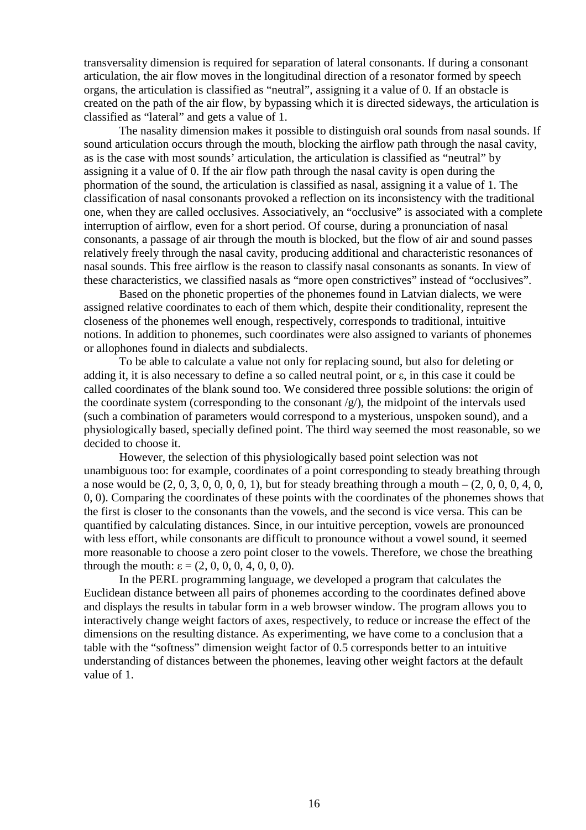transversality dimension is required for separation of lateral consonants. If during a consonant articulation, the air flow moves in the longitudinal direction of a resonator formed by speech organs, the articulation is classified as "neutral", assigning it a value of 0. If an obstacle is created on the path of the air flow, by bypassing which it is directed sideways, the articulation is classified as "lateral" and gets a value of 1.

The nasality dimension makes it possible to distinguish oral sounds from nasal sounds. If sound articulation occurs through the mouth, blocking the airflow path through the nasal cavity, as is the case with most sounds' articulation, the articulation is classified as "neutral" by assigning it a value of 0. If the air flow path through the nasal cavity is open during the phormation of the sound, the articulation is classified as nasal, assigning it a value of 1. The classification of nasal consonants provoked a reflection on its inconsistency with the traditional one, when they are called occlusives. Associatively, an "occlusive" is associated with a complete interruption of airflow, even for a short period. Of course, during a pronunciation of nasal consonants, a passage of air through the mouth is blocked, but the flow of air and sound passes relatively freely through the nasal cavity, producing additional and characteristic resonances of nasal sounds. This free airflow is the reason to classify nasal consonants as sonants. In view of these characteristics, we classified nasals as "more open constrictives" instead of "occlusives".

Based on the phonetic properties of the phonemes found in Latvian dialects, we were assigned relative coordinates to each of them which, despite their conditionality, represent the closeness of the phonemes well enough, respectively, corresponds to traditional, intuitive notions. In addition to phonemes, such coordinates were also assigned to variants of phonemes or allophones found in dialects and subdialects.

To be able to calculate a value not only for replacing sound, but also for deleting or adding it, it is also necessary to define a so called neutral point, or ε, in this case it could be called coordinates of the blank sound too. We considered three possible solutions: the origin of the coordinate system (corresponding to the consonant  $\langle g \rangle$ ), the midpoint of the intervals used (such a combination of parameters would correspond to a mysterious, unspoken sound), and a physiologically based, specially defined point. The third way seemed the most reasonable, so we decided to choose it.

However, the selection of this physiologically based point selection was not unambiguous too: for example, coordinates of a point corresponding to steady breathing through a nose would be (2, 0, 3, 0, 0, 0, 0, 1), but for steady breathing through a mouth – (2, 0, 0, 0, 4, 0, 0, 0). Comparing the coordinates of these points with the coordinates of the phonemes shows that the first is closer to the consonants than the vowels, and the second is vice versa. This can be quantified by calculating distances. Since, in our intuitive perception, vowels are pronounced with less effort, while consonants are difficult to pronounce without a vowel sound, it seemed more reasonable to choose a zero point closer to the vowels. Therefore, we chose the breathing through the mouth:  $\varepsilon = (2, 0, 0, 0, 4, 0, 0, 0)$ .

In the PERL programming language, we developed a program that calculates the Euclidean distance between all pairs of phonemes according to the coordinates defined above and displays the results in tabular form in a web browser window. The program allows you to interactively change weight factors of axes, respectively, to reduce or increase the effect of the dimensions on the resulting distance. As experimenting, we have come to a conclusion that a table with the "softness" dimension weight factor of 0.5 corresponds better to an intuitive understanding of distances between the phonemes, leaving other weight factors at the default value of 1.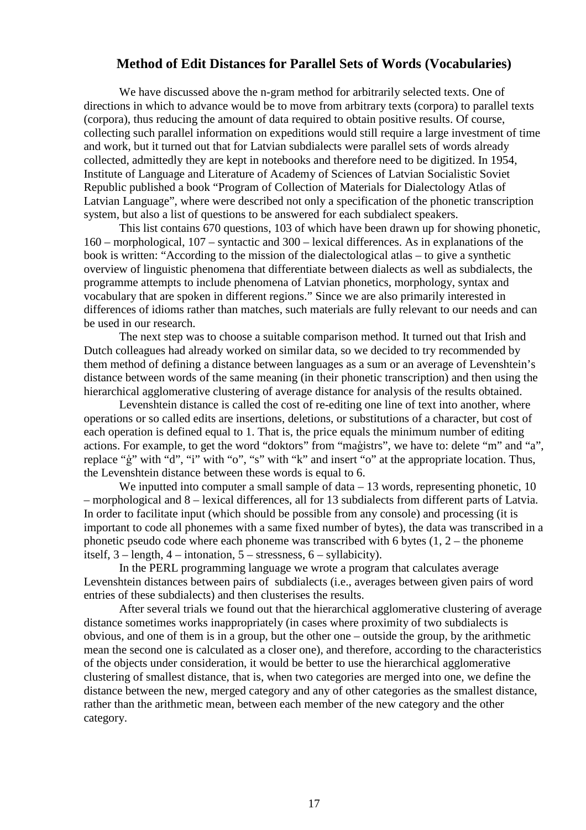## **Method of Edit Distances for Parallel Sets of Words (Vocabularies)**

We have discussed above the n-gram method for arbitrarily selected texts. One of directions in which to advance would be to move from arbitrary texts (corpora) to parallel texts (corpora), thus reducing the amount of data required to obtain positive results. Of course, collecting such parallel information on expeditions would still require a large investment of time and work, but it turned out that for Latvian subdialects were parallel sets of words already collected, admittedly they are kept in notebooks and therefore need to be digitized. In 1954, Institute of Language and Literature of Academy of Sciences of Latvian Socialistic Soviet Republic published a book "Program of Collection of Materials for Dialectology Atlas of Latvian Language", where were described not only a specification of the phonetic transcription system, but also a list of questions to be answered for each subdialect speakers.

This list contains 670 questions, 103 of which have been drawn up for showing phonetic, 160 – morphological, 107 – syntactic and 300 – lexical differences. As in explanations of the book is written: "According to the mission of the dialectological atlas – to give a synthetic overview of linguistic phenomena that differentiate between dialects as well as subdialects, the programme attempts to include phenomena of Latvian phonetics, morphology, syntax and vocabulary that are spoken in different regions." Since we are also primarily interested in differences of idioms rather than matches, such materials are fully relevant to our needs and can be used in our research.

The next step was to choose a suitable comparison method. It turned out that Irish and Dutch colleagues had already worked on similar data, so we decided to try recommended by them method of defining a distance between languages as a sum or an average of Levenshtein's distance between words of the same meaning (in their phonetic transcription) and then using the hierarchical agglomerative clustering of average distance for analysis of the results obtained.

 Levenshtein distance is called the cost of re-editing one line of text into another, where operations or so called edits are insertions, deletions, or substitutions of a character, but cost of each operation is defined equal to 1. That is, the price equals the minimum number of editing actions. For example, to get the word "doktors" from "maģistrs", we have to: delete "m" and "a", replace "ģ" with "d", "i" with "o", "s" with "k" and insert "o" at the appropriate location. Thus, the Levenshtein distance between these words is equal to 6.

We inputted into computer a small sample of data – 13 words, representing phonetic, 10 – morphological and 8 – lexical differences, all for 13 subdialects from different parts of Latvia. In order to facilitate input (which should be possible from any console) and processing (it is important to code all phonemes with a same fixed number of bytes), the data was transcribed in a phonetic pseudo code where each phoneme was transcribed with 6 bytes  $(1, 2 -$  the phoneme itself,  $3$  – length,  $4$  – intonation,  $5$  – stressness,  $6$  – syllabicity).

In the PERL programming language we wrote a program that calculates average Levenshtein distances between pairs of subdialects (i.e., averages between given pairs of word entries of these subdialects) and then clusterises the results.

After several trials we found out that the hierarchical agglomerative clustering of average distance sometimes works inappropriately (in cases where proximity of two subdialects is obvious, and one of them is in a group, but the other one – outside the group, by the arithmetic mean the second one is calculated as a closer one), and therefore, according to the characteristics of the objects under consideration, it would be better to use the hierarchical agglomerative clustering of smallest distance, that is, when two categories are merged into one, we define the distance between the new, merged category and any of other categories as the smallest distance, rather than the arithmetic mean, between each member of the new category and the other category.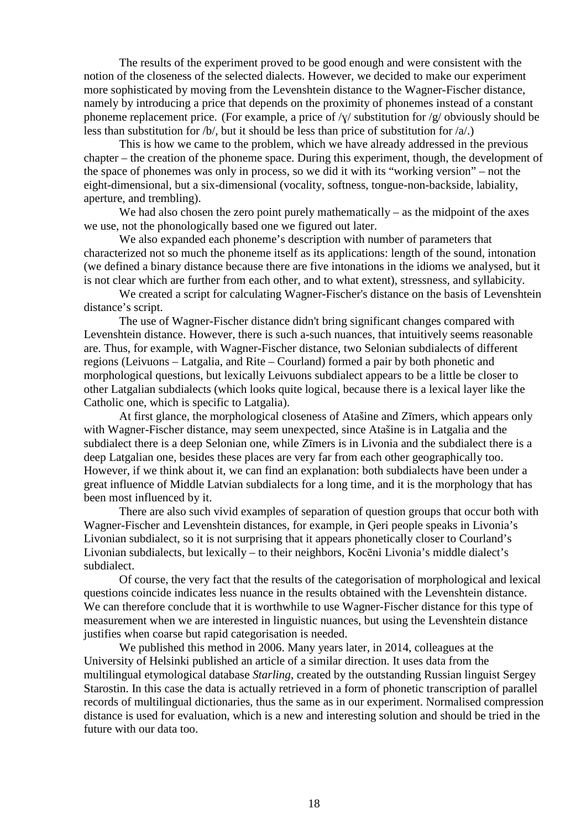The results of the experiment proved to be good enough and were consistent with the notion of the closeness of the selected dialects. However, we decided to make our experiment more sophisticated by moving from the Levenshtein distance to the Wagner-Fischer distance, namely by introducing a price that depends on the proximity of phonemes instead of a constant phoneme replacement price. (For example, a price of  $\sqrt{y}$  substitution for  $\sqrt{g}$  obviously should be less than substitution for /b/, but it should be less than price of substitution for /a/.)

This is how we came to the problem, which we have already addressed in the previous chapter – the creation of the phoneme space. During this experiment, though, the development of the space of phonemes was only in process, so we did it with its "working version" – not the eight-dimensional, but a six-dimensional (vocality, softness, tongue-non-backside, labiality, aperture, and trembling).

We had also chosen the zero point purely mathematically  $-$  as the midpoint of the axes we use, not the phonologically based one we figured out later.

We also expanded each phoneme's description with number of parameters that characterized not so much the phoneme itself as its applications: length of the sound, intonation (we defined a binary distance because there are five intonations in the idioms we analysed, but it is not clear which are further from each other, and to what extent), stressness, and syllabicity.

 We created a script for calculating Wagner-Fischer's distance on the basis of Levenshtein distance's script.

The use of Wagner-Fischer distance didn't bring significant changes compared with Levenshtein distance. However, there is such a-such nuances, that intuitively seems reasonable are. Thus, for example, with Wagner-Fischer distance, two Selonian subdialects of different regions (Leivuons – Latgalia, and Rite – Courland) formed a pair by both phonetic and morphological questions, but lexically Leivuons subdialect appears to be a little be closer to other Latgalian subdialects (which looks quite logical, because there is a lexical layer like the Catholic one, which is specific to Latgalia).

At first glance, the morphological closeness of Atašine and Zīmers, which appears only with Wagner-Fischer distance, may seem unexpected, since Atašine is in Latgalia and the subdialect there is a deep Selonian one, while Zīmers is in Livonia and the subdialect there is a deep Latgalian one, besides these places are very far from each other geographically too. However, if we think about it, we can find an explanation: both subdialects have been under a great influence of Middle Latvian subdialects for a long time, and it is the morphology that has been most influenced by it.

There are also such vivid examples of separation of question groups that occur both with Wagner-Fischer and Levenshtein distances, for example, in Ģeri people speaks in Livonia's Livonian subdialect, so it is not surprising that it appears phonetically closer to Courland's Livonian subdialects, but lexically – to their neighbors, Kocēni Livonia's middle dialect's subdialect.

Of course, the very fact that the results of the categorisation of morphological and lexical questions coincide indicates less nuance in the results obtained with the Levenshtein distance. We can therefore conclude that it is worthwhile to use Wagner-Fischer distance for this type of measurement when we are interested in linguistic nuances, but using the Levenshtein distance justifies when coarse but rapid categorisation is needed.

We published this method in 2006. Many years later, in 2014, colleagues at the University of Helsinki published an article of a similar direction. It uses data from the multilingual etymological database *Starling*, created by the outstanding Russian linguist Sergey Starostin. In this case the data is actually retrieved in a form of phonetic transcription of parallel records of multilingual dictionaries, thus the same as in our experiment. Normalised compression distance is used for evaluation, which is a new and interesting solution and should be tried in the future with our data too.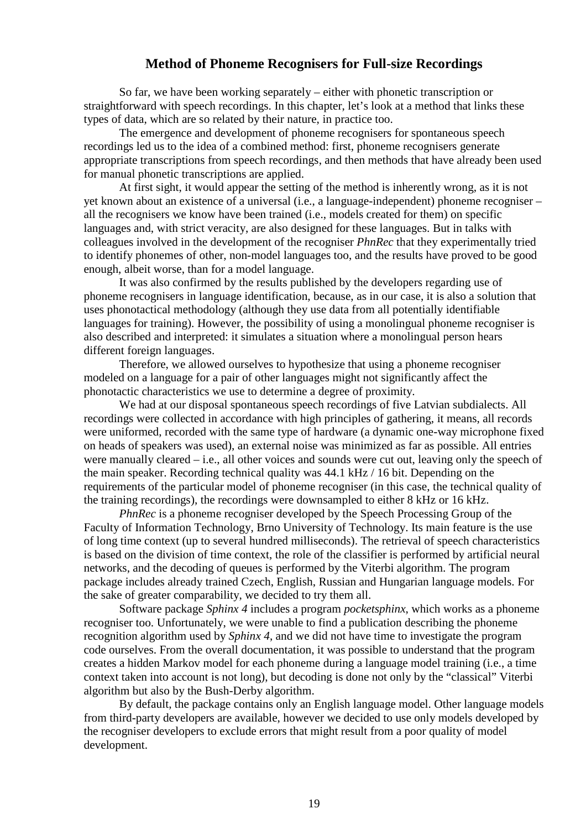## **Method of Phoneme Recognisers for Full-size Recordings**

So far, we have been working separately – either with phonetic transcription or straightforward with speech recordings. In this chapter, let's look at a method that links these types of data, which are so related by their nature, in practice too.

The emergence and development of phoneme recognisers for spontaneous speech recordings led us to the idea of a combined method: first, phoneme recognisers generate appropriate transcriptions from speech recordings, and then methods that have already been used for manual phonetic transcriptions are applied.

At first sight, it would appear the setting of the method is inherently wrong, as it is not yet known about an existence of a universal (i.e., a language-independent) phoneme recogniser – all the recognisers we know have been trained (i.e., models created for them) on specific languages and, with strict veracity, are also designed for these languages. But in talks with colleagues involved in the development of the recogniser *PhnRec* that they experimentally tried to identify phonemes of other, non-model languages too, and the results have proved to be good enough, albeit worse, than for a model language.

 It was also confirmed by the results published by the developers regarding use of phoneme recognisers in language identification, because, as in our case, it is also a solution that uses phonotactical methodology (although they use data from all potentially identifiable languages for training). However, the possibility of using a monolingual phoneme recogniser is also described and interpreted: it simulates a situation where a monolingual person hears different foreign languages.

Therefore, we allowed ourselves to hypothesize that using a phoneme recogniser modeled on a language for a pair of other languages might not significantly affect the phonotactic characteristics we use to determine a degree of proximity.

We had at our disposal spontaneous speech recordings of five Latvian subdialects. All recordings were collected in accordance with high principles of gathering, it means, all records were uniformed, recorded with the same type of hardware (a dynamic one-way microphone fixed on heads of speakers was used), an external noise was minimized as far as possible. All entries were manually cleared  $-i.e.,$  all other voices and sounds were cut out, leaving only the speech of the main speaker. Recording technical quality was 44.1 kHz / 16 bit. Depending on the requirements of the particular model of phoneme recogniser (in this case, the technical quality of the training recordings), the recordings were downsampled to either 8 kHz or 16 kHz.

*PhnRec* is a phoneme recogniser developed by the Speech Processing Group of the Faculty of Information Technology, Brno University of Technology. Its main feature is the use of long time context (up to several hundred milliseconds). The retrieval of speech characteristics is based on the division of time context, the role of the classifier is performed by artificial neural networks, and the decoding of queues is performed by the Viterbi algorithm. The program package includes already trained Czech, English, Russian and Hungarian language models. For the sake of greater comparability, we decided to try them all.

Software package *Sphinx 4* includes a program *pocketsphinx*, which works as a phoneme recogniser too. Unfortunately, we were unable to find a publication describing the phoneme recognition algorithm used by *Sphinx 4*, and we did not have time to investigate the program code ourselves. From the overall documentation, it was possible to understand that the program creates a hidden Markov model for each phoneme during a language model training (i.e., a time context taken into account is not long), but decoding is done not only by the "classical" Viterbi algorithm but also by the Bush-Derby algorithm.

By default, the package contains only an English language model. Other language models from third-party developers are available, however we decided to use only models developed by the recogniser developers to exclude errors that might result from a poor quality of model development.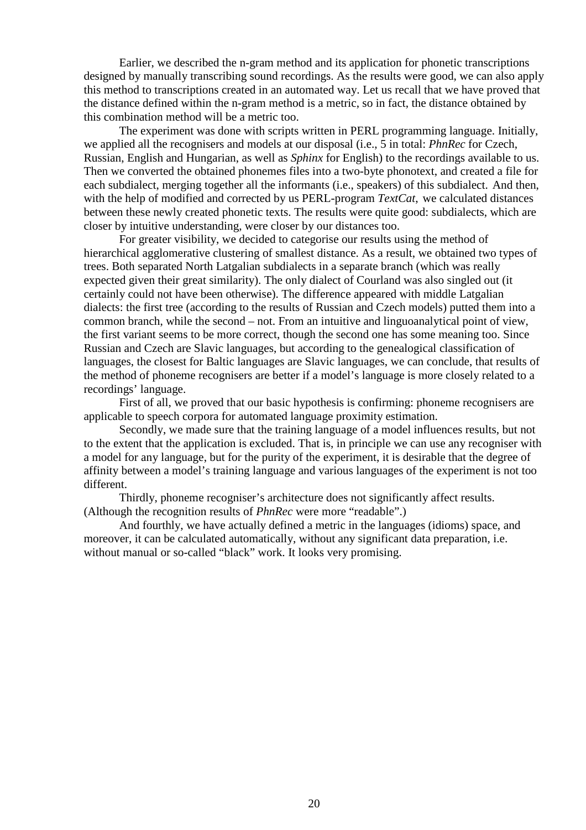Earlier, we described the n-gram method and its application for phonetic transcriptions designed by manually transcribing sound recordings. As the results were good, we can also apply this method to transcriptions created in an automated way. Let us recall that we have proved that the distance defined within the n-gram method is a metric, so in fact, the distance obtained by this combination method will be a metric too.

The experiment was done with scripts written in PERL programming language. Initially, we applied all the recognisers and models at our disposal (i.e., 5 in total: *PhnRec* for Czech, Russian, English and Hungarian, as well as *Sphinx* for English) to the recordings available to us. Then we converted the obtained phonemes files into a two-byte phonotext, and created a file for each subdialect, merging together all the informants (i.e., speakers) of this subdialect. And then, with the help of modified and corrected by us PERL-program *TextCat*, we calculated distances between these newly created phonetic texts. The results were quite good: subdialects, which are closer by intuitive understanding, were closer by our distances too.

For greater visibility, we decided to categorise our results using the method of hierarchical agglomerative clustering of smallest distance. As a result, we obtained two types of trees. Both separated North Latgalian subdialects in a separate branch (which was really expected given their great similarity). The only dialect of Courland was also singled out (it certainly could not have been otherwise). The difference appeared with middle Latgalian dialects: the first tree (according to the results of Russian and Czech models) putted them into a common branch, while the second – not. From an intuitive and linguoanalytical point of view, the first variant seems to be more correct, though the second one has some meaning too. Since Russian and Czech are Slavic languages, but according to the genealogical classification of languages, the closest for Baltic languages are Slavic languages, we can conclude, that results of the method of phoneme recognisers are better if a model's language is more closely related to a recordings' language.

First of all, we proved that our basic hypothesis is confirming: phoneme recognisers are applicable to speech corpora for automated language proximity estimation.

Secondly, we made sure that the training language of a model influences results, but not to the extent that the application is excluded. That is, in principle we can use any recogniser with a model for any language, but for the purity of the experiment, it is desirable that the degree of affinity between a model's training language and various languages of the experiment is not too different.

Thirdly, phoneme recogniser's architecture does not significantly affect results. (Although the recognition results of *PhnRec* were more "readable".)

And fourthly, we have actually defined a metric in the languages (idioms) space, and moreover, it can be calculated automatically, without any significant data preparation, i.e. without manual or so-called "black" work. It looks very promising.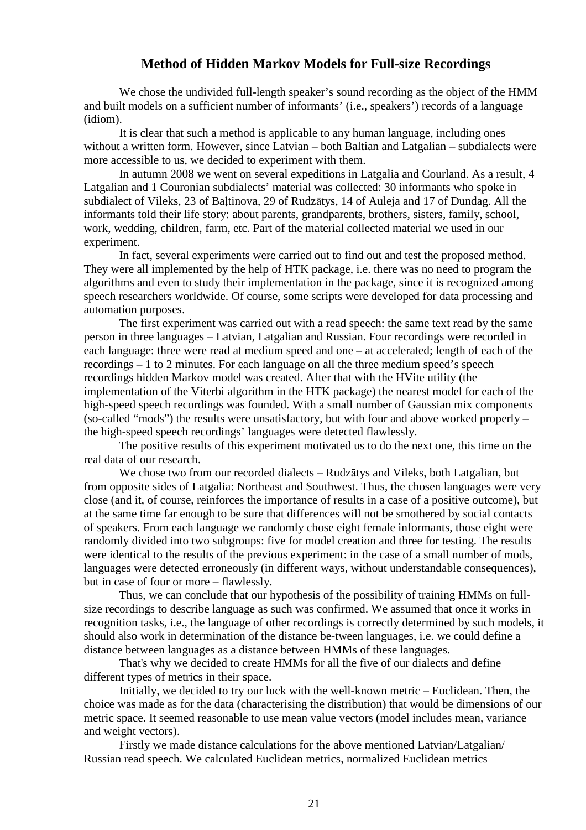## **Method of Hidden Markov Models for Full-size Recordings**

We chose the undivided full-length speaker's sound recording as the object of the HMM and built models on a sufficient number of informants' (i.e., speakers') records of a language (idiom).

It is clear that such a method is applicable to any human language, including ones without a written form. However, since Latvian – both Baltian and Latgalian – subdialects were more accessible to us, we decided to experiment with them.

In autumn 2008 we went on several expeditions in Latgalia and Courland. As a result, 4 Latgalian and 1 Couronian subdialects' material was collected: 30 informants who spoke in subdialect of Vileks, 23 of Baļtinova, 29 of Rudzātys, 14 of Auleja and 17 of Dundag. All the informants told their life story: about parents, grandparents, brothers, sisters, family, school, work, wedding, children, farm, etc. Part of the material collected material we used in our experiment.

In fact, several experiments were carried out to find out and test the proposed method. They were all implemented by the help of HTK package, i.e. there was no need to program the algorithms and even to study their implementation in the package, since it is recognized among speech researchers worldwide. Of course, some scripts were developed for data processing and automation purposes.

The first experiment was carried out with a read speech: the same text read by the same person in three languages – Latvian, Latgalian and Russian. Four recordings were recorded in each language: three were read at medium speed and one – at accelerated; length of each of the recordings – 1 to 2 minutes. For each language on all the three medium speed's speech recordings hidden Markov model was created. After that with the HVite utility (the implementation of the Viterbi algorithm in the HTK package) the nearest model for each of the high-speed speech recordings was founded. With a small number of Gaussian mix components (so-called "mods") the results were unsatisfactory, but with four and above worked properly – the high-speed speech recordings' languages were detected flawlessly.

The positive results of this experiment motivated us to do the next one, this time on the real data of our research.

We chose two from our recorded dialects – Rudzātys and Vileks, both Latgalian, but from opposite sides of Latgalia: Northeast and Southwest. Thus, the chosen languages were very close (and it, of course, reinforces the importance of results in a case of a positive outcome), but at the same time far enough to be sure that differences will not be smothered by social contacts of speakers. From each language we randomly chose eight female informants, those eight were randomly divided into two subgroups: five for model creation and three for testing. The results were identical to the results of the previous experiment: in the case of a small number of mods, languages were detected erroneously (in different ways, without understandable consequences), but in case of four or more – flawlessly.

Thus, we can conclude that our hypothesis of the possibility of training HMMs on fullsize recordings to describe language as such was confirmed. We assumed that once it works in recognition tasks, i.e., the language of other recordings is correctly determined by such models, it should also work in determination of the distance be-tween languages, i.e. we could define a distance between languages as a distance between HMMs of these languages.

That's why we decided to create HMMs for all the five of our dialects and define different types of metrics in their space.

Initially, we decided to try our luck with the well-known metric – Euclidean. Then, the choice was made as for the data (characterising the distribution) that would be dimensions of our metric space. It seemed reasonable to use mean value vectors (model includes mean, variance and weight vectors).

Firstly we made distance calculations for the above mentioned Latvian/Latgalian/ Russian read speech. We calculated Euclidean metrics, normalized Euclidean metrics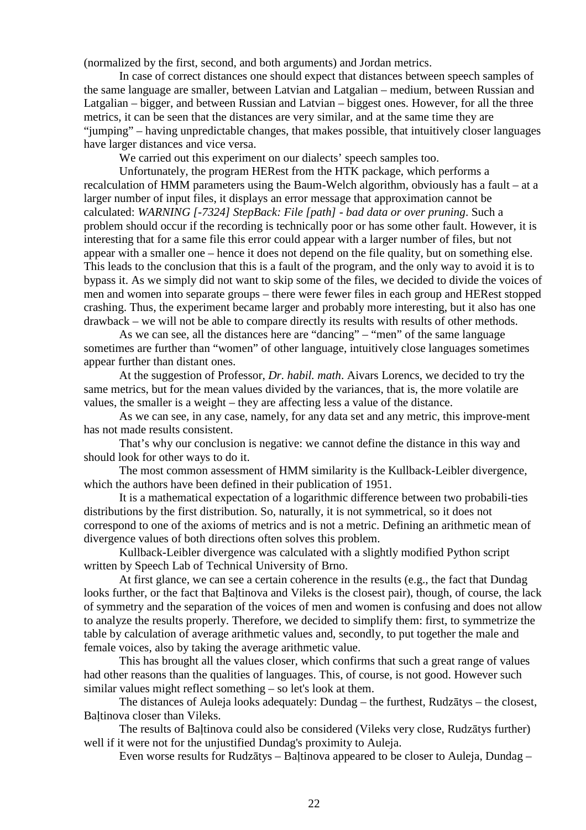(normalized by the first, second, and both arguments) and Jordan metrics.

In case of correct distances one should expect that distances between speech samples of the same language are smaller, between Latvian and Latgalian – medium, between Russian and Latgalian – bigger, and between Russian and Latvian – biggest ones. However, for all the three metrics, it can be seen that the distances are very similar, and at the same time they are "jumping" – having unpredictable changes, that makes possible, that intuitively closer languages have larger distances and vice versa.

We carried out this experiment on our dialects' speech samples too.

Unfortunately, the program HERest from the HTK package, which performs a recalculation of HMM parameters using the Baum-Welch algorithm, obviously has a fault – at a larger number of input files, it displays an error message that approximation cannot be calculated: *WARNING [-7324] StepBack: File [path] - bad data or over pruning*. Such a problem should occur if the recording is technically poor or has some other fault. However, it is interesting that for a same file this error could appear with a larger number of files, but not appear with a smaller one – hence it does not depend on the file quality, but on something else. This leads to the conclusion that this is a fault of the program, and the only way to avoid it is to bypass it. As we simply did not want to skip some of the files, we decided to divide the voices of men and women into separate groups – there were fewer files in each group and HERest stopped crashing. Thus, the experiment became larger and probably more interesting, but it also has one drawback – we will not be able to compare directly its results with results of other methods.

As we can see, all the distances here are "dancing" – "men" of the same language sometimes are further than "women" of other language, intuitively close languages sometimes appear further than distant ones.

At the suggestion of Professor, *Dr. habil. math*. Aivars Lorencs, we decided to try the same metrics, but for the mean values divided by the variances, that is, the more volatile are values, the smaller is a weight – they are affecting less a value of the distance.

As we can see, in any case, namely, for any data set and any metric, this improve-ment has not made results consistent.

That's why our conclusion is negative: we cannot define the distance in this way and should look for other ways to do it.

The most common assessment of HMM similarity is the Kullback-Leibler divergence, which the authors have been defined in their publication of 1951.

It is a mathematical expectation of a logarithmic difference between two probabili-ties distributions by the first distribution. So, naturally, it is not symmetrical, so it does not correspond to one of the axioms of metrics and is not a metric. Defining an arithmetic mean of divergence values of both directions often solves this problem.

Kullback-Leibler divergence was calculated with a slightly modified Python script written by Speech Lab of Technical University of Brno.

At first glance, we can see a certain coherence in the results (e.g., the fact that Dundag looks further, or the fact that Baļtinova and Vileks is the closest pair), though, of course, the lack of symmetry and the separation of the voices of men and women is confusing and does not allow to analyze the results properly. Therefore, we decided to simplify them: first, to symmetrize the table by calculation of average arithmetic values and, secondly, to put together the male and female voices, also by taking the average arithmetic value.

This has brought all the values closer, which confirms that such a great range of values had other reasons than the qualities of languages. This, of course, is not good. However such similar values might reflect something – so let's look at them.

The distances of Auleja looks adequately: Dundag – the furthest, Rudzātys – the closest, Baltinova closer than Vileks.

The results of Baļtinova could also be considered (Vileks very close, Rudzātys further) well if it were not for the unjustified Dundag's proximity to Auleja.

Even worse results for Rudzātys – Baļtinova appeared to be closer to Auleja, Dundag –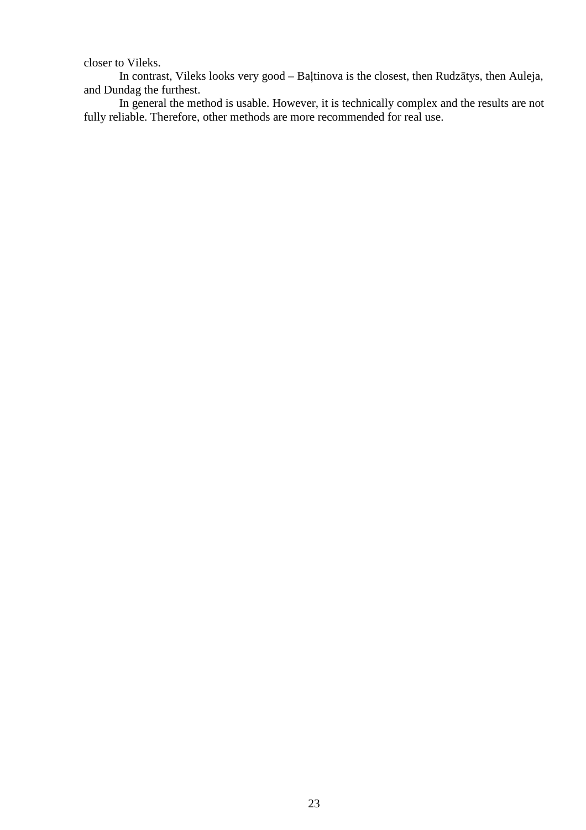closer to Vileks.

In contrast, Vileks looks very good – Baļtinova is the closest, then Rudzātys, then Auleja, and Dundag the furthest.

In general the method is usable. However, it is technically complex and the results are not fully reliable. Therefore, other methods are more recommended for real use.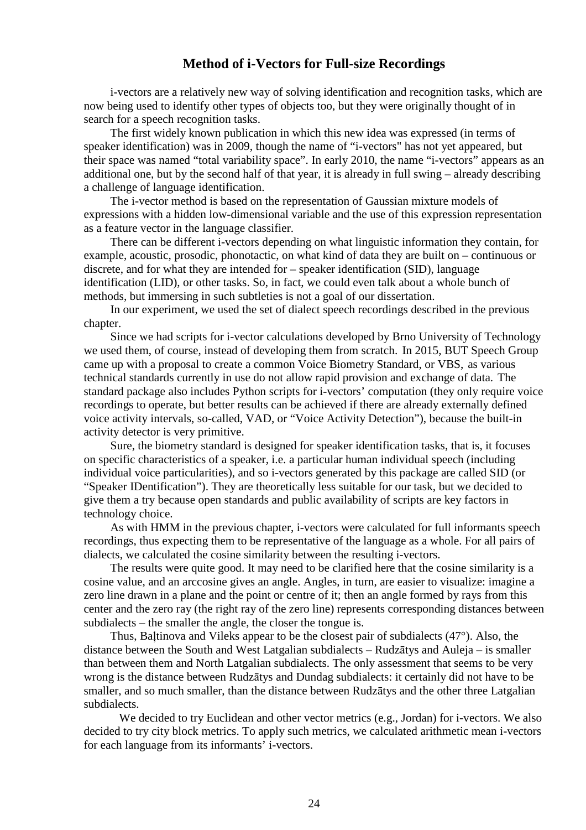## **Method of i-Vectors for Full-size Recordings**

i-vectors are a relatively new way of solving identification and recognition tasks, which are now being used to identify other types of objects too, but they were originally thought of in search for a speech recognition tasks.

The first widely known publication in which this new idea was expressed (in terms of speaker identification) was in 2009, though the name of "i-vectors" has not yet appeared, but their space was named "total variability space". In early 2010, the name "i-vectors" appears as an additional one, but by the second half of that year, it is already in full swing – already describing a challenge of language identification.

The i-vector method is based on the representation of Gaussian mixture models of expressions with a hidden low-dimensional variable and the use of this expression representation as a feature vector in the language classifier.

There can be different i-vectors depending on what linguistic information they contain, for example, acoustic, prosodic, phonotactic, on what kind of data they are built on – continuous or discrete, and for what they are intended for – speaker identification (SID), language identification (LID), or other tasks. So, in fact, we could even talk about a whole bunch of methods, but immersing in such subtleties is not a goal of our dissertation.

In our experiment, we used the set of dialect speech recordings described in the previous chapter.

Since we had scripts for i-vector calculations developed by Brno University of Technology we used them, of course, instead of developing them from scratch. In 2015, BUT Speech Group came up with a proposal to create a common Voice Biometry Standard, or VBS, as various technical standards currently in use do not allow rapid provision and exchange of data. The standard package also includes Python scripts for i-vectors' computation (they only require voice recordings to operate, but better results can be achieved if there are already externally defined voice activity intervals, so-called, VAD, or "Voice Activity Detection"), because the built-in activity detector is very primitive.

Sure, the biometry standard is designed for speaker identification tasks, that is, it focuses on specific characteristics of a speaker, i.e. a particular human individual speech (including individual voice particularities), and so i-vectors generated by this package are called SID (or "Speaker IDentification"). They are theoretically less suitable for our task, but we decided to give them a try because open standards and public availability of scripts are key factors in technology choice.

As with HMM in the previous chapter, i-vectors were calculated for full informants speech recordings, thus expecting them to be representative of the language as a whole. For all pairs of dialects, we calculated the cosine similarity between the resulting i-vectors.

The results were quite good. It may need to be clarified here that the cosine similarity is a cosine value, and an arccosine gives an angle. Angles, in turn, are easier to visualize: imagine a zero line drawn in a plane and the point or centre of it; then an angle formed by rays from this center and the zero ray (the right ray of the zero line) represents corresponding distances between subdialects – the smaller the angle, the closer the tongue is.

Thus, Baltinova and Vileks appear to be the closest pair of subdialects  $(47^{\circ})$ . Also, the distance between the South and West Latgalian subdialects – Rudzātys and Auleja – is smaller than between them and North Latgalian subdialects. The only assessment that seems to be very wrong is the distance between Rudzātys and Dundag subdialects: it certainly did not have to be smaller, and so much smaller, than the distance between Rudzātys and the other three Latgalian subdialects.

We decided to try Euclidean and other vector metrics (e.g., Jordan) for i-vectors. We also decided to try city block metrics. To apply such metrics, we calculated arithmetic mean i-vectors for each language from its informants' i-vectors.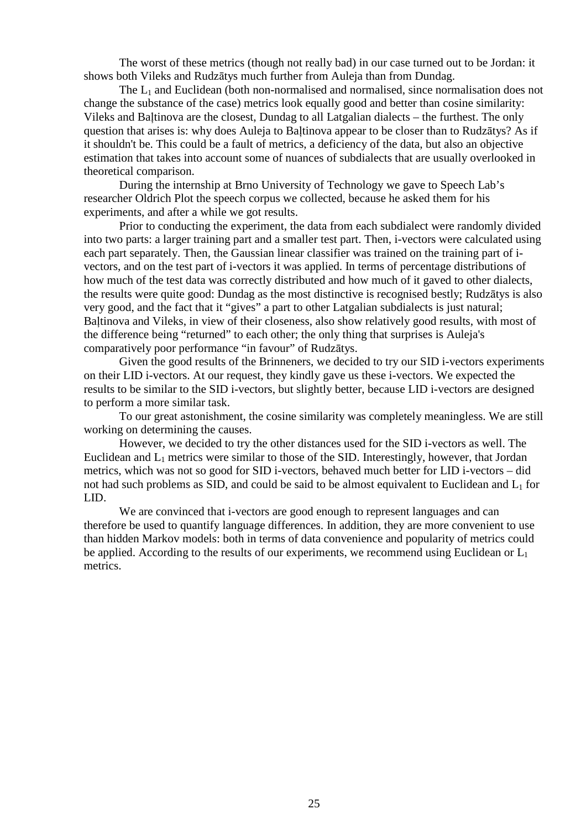The worst of these metrics (though not really bad) in our case turned out to be Jordan: it shows both Vileks and Rudzātys much further from Auleja than from Dundag.

The  $L_1$  and Euclidean (both non-normalised and normalised, since normalisation does not change the substance of the case) metrics look equally good and better than cosine similarity: Vileks and Baļtinova are the closest, Dundag to all Latgalian dialects – the furthest. The only question that arises is: why does Auleja to Baļtinova appear to be closer than to Rudzātys? As if it shouldn't be. This could be a fault of metrics, a deficiency of the data, but also an objective estimation that takes into account some of nuances of subdialects that are usually overlooked in theoretical comparison.

During the internship at Brno University of Technology we gave to Speech Lab's researcher Oldrich Plot the speech corpus we collected, because he asked them for his experiments, and after a while we got results.

Prior to conducting the experiment, the data from each subdialect were randomly divided into two parts: a larger training part and a smaller test part. Then, i-vectors were calculated using each part separately. Then, the Gaussian linear classifier was trained on the training part of ivectors, and on the test part of i-vectors it was applied. In terms of percentage distributions of how much of the test data was correctly distributed and how much of it gaved to other dialects, the results were quite good: Dundag as the most distinctive is recognised bestly; Rudzātys is also very good, and the fact that it "gives" a part to other Latgalian subdialects is just natural; Baļtinova and Vileks, in view of their closeness, also show relatively good results, with most of the difference being "returned" to each other; the only thing that surprises is Auleja's comparatively poor performance "in favour" of Rudzātys.

Given the good results of the Brinneners, we decided to try our SID i-vectors experiments on their LID i-vectors. At our request, they kindly gave us these i-vectors. We expected the results to be similar to the SID i-vectors, but slightly better, because LID i-vectors are designed to perform a more similar task.

To our great astonishment, the cosine similarity was completely meaningless. We are still working on determining the causes.

However, we decided to try the other distances used for the SID i-vectors as well. The Euclidean and  $L_1$  metrics were similar to those of the SID. Interestingly, however, that Jordan metrics, which was not so good for SID i-vectors, behaved much better for LID i-vectors – did not had such problems as SID, and could be said to be almost equivalent to Euclidean and  $L_1$  for LID.

We are convinced that i-vectors are good enough to represent languages and can therefore be used to quantify language differences. In addition, they are more convenient to use than hidden Markov models: both in terms of data convenience and popularity of metrics could be applied. According to the results of our experiments, we recommend using Euclidean or  $L_1$ metrics.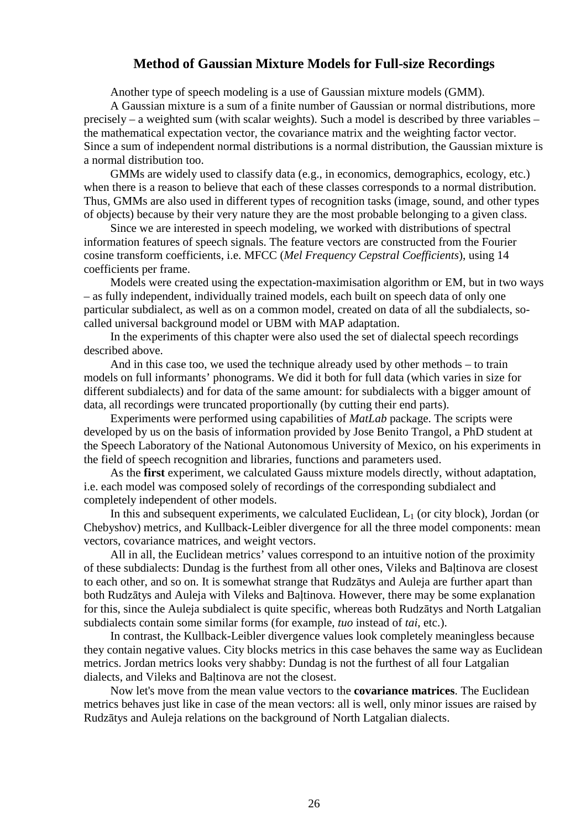## **Method of Gaussian Mixture Models for Full-size Recordings**

Another type of speech modeling is a use of Gaussian mixture models (GMM).

A Gaussian mixture is a sum of a finite number of Gaussian or normal distributions, more precisely – a weighted sum (with scalar weights). Such a model is described by three variables – the mathematical expectation vector, the covariance matrix and the weighting factor vector. Since a sum of independent normal distributions is a normal distribution, the Gaussian mixture is a normal distribution too.

GMMs are widely used to classify data (e.g., in economics, demographics, ecology, etc.) when there is a reason to believe that each of these classes corresponds to a normal distribution. Thus, GMMs are also used in different types of recognition tasks (image, sound, and other types of objects) because by their very nature they are the most probable belonging to a given class.

Since we are interested in speech modeling, we worked with distributions of spectral information features of speech signals. The feature vectors are constructed from the Fourier cosine transform coefficients, i.e. MFCC (*Mel Frequency Cepstral Coefficients*), using 14 coefficients per frame.

Models were created using the expectation-maximisation algorithm or EM, but in two ways – as fully independent, individually trained models, each built on speech data of only one particular subdialect, as well as on a common model, created on data of all the subdialects, socalled universal background model or UBM with MAP adaptation.

In the experiments of this chapter were also used the set of dialectal speech recordings described above.

And in this case too, we used the technique already used by other methods – to train models on full informants' phonograms. We did it both for full data (which varies in size for different subdialects) and for data of the same amount: for subdialects with a bigger amount of data, all recordings were truncated proportionally (by cutting their end parts).

Experiments were performed using capabilities of *MatLab* package. The scripts were developed by us on the basis of information provided by Jose Benito Trangol, a PhD student at the Speech Laboratory of the National Autonomous University of Mexico, on his experiments in the field of speech recognition and libraries, functions and parameters used.

As the **first** experiment, we calculated Gauss mixture models directly, without adaptation, i.e. each model was composed solely of recordings of the corresponding subdialect and completely independent of other models.

In this and subsequent experiments, we calculated Euclidean,  $L_1$  (or city block), Jordan (or Chebyshov) metrics, and Kullback-Leibler divergence for all the three model components: mean vectors, covariance matrices, and weight vectors.

All in all, the Euclidean metrics' values correspond to an intuitive notion of the proximity of these subdialects: Dundag is the furthest from all other ones, Vileks and Baļtinova are closest to each other, and so on. It is somewhat strange that Rudzātys and Auleja are further apart than both Rudzātys and Auleja with Vileks and Baļtinova. However, there may be some explanation for this, since the Auleja subdialect is quite specific, whereas both Rudzātys and North Latgalian subdialects contain some similar forms (for example, *tuo* instead of *tai*, etc.).

In contrast, the Kullback-Leibler divergence values look completely meaningless because they contain negative values. City blocks metrics in this case behaves the same way as Euclidean metrics. Jordan metrics looks very shabby: Dundag is not the furthest of all four Latgalian dialects, and Vileks and Baltinova are not the closest.

Now let's move from the mean value vectors to the **covariance matrices**. The Euclidean metrics behaves just like in case of the mean vectors: all is well, only minor issues are raised by Rudzātys and Auleja relations on the background of North Latgalian dialects.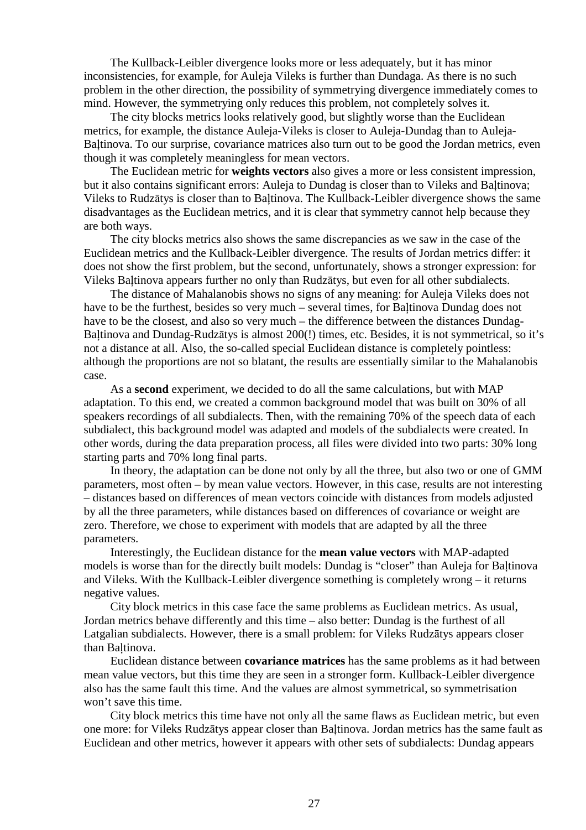The Kullback-Leibler divergence looks more or less adequately, but it has minor inconsistencies, for example, for Auleja Vileks is further than Dundaga. As there is no such problem in the other direction, the possibility of symmetrying divergence immediately comes to mind. However, the symmetrying only reduces this problem, not completely solves it.

The city blocks metrics looks relatively good, but slightly worse than the Euclidean metrics, for example, the distance Auleja-Vileks is closer to Auleja-Dundag than to Auleja-Baļtinova. To our surprise, covariance matrices also turn out to be good the Jordan metrics, even though it was completely meaningless for mean vectors.

The Euclidean metric for **weights vectors** also gives a more or less consistent impression, but it also contains significant errors: Auleja to Dundag is closer than to Vileks and Baļtinova; Vileks to Rudzātys is closer than to Baļtinova. The Kullback-Leibler divergence shows the same disadvantages as the Euclidean metrics, and it is clear that symmetry cannot help because they are both ways.

The city blocks metrics also shows the same discrepancies as we saw in the case of the Euclidean metrics and the Kullback-Leibler divergence. The results of Jordan metrics differ: it does not show the first problem, but the second, unfortunately, shows a stronger expression: for Vileks Baļtinova appears further no only than Rudzātys, but even for all other subdialects.

The distance of Mahalanobis shows no signs of any meaning: for Auleja Vileks does not have to be the furthest, besides so very much – several times, for Baltinova Dundag does not have to be the closest, and also so very much – the difference between the distances Dundag-Baļtinova and Dundag-Rudzātys is almost 200(!) times, etc. Besides, it is not symmetrical, so it's not a distance at all. Also, the so-called special Euclidean distance is completely pointless: although the proportions are not so blatant, the results are essentially similar to the Mahalanobis case.

As a **second** experiment, we decided to do all the same calculations, but with MAP adaptation. To this end, we created a common background model that was built on 30% of all speakers recordings of all subdialects. Then, with the remaining 70% of the speech data of each subdialect, this background model was adapted and models of the subdialects were created. In other words, during the data preparation process, all files were divided into two parts: 30% long starting parts and 70% long final parts.

In theory, the adaptation can be done not only by all the three, but also two or one of GMM parameters, most often – by mean value vectors. However, in this case, results are not interesting – distances based on differences of mean vectors coincide with distances from models adjusted by all the three parameters, while distances based on differences of covariance or weight are zero. Therefore, we chose to experiment with models that are adapted by all the three parameters.

Interestingly, the Euclidean distance for the **mean value vectors** with MAP-adapted models is worse than for the directly built models: Dundag is "closer" than Auleja for Baļtinova and Vileks. With the Kullback-Leibler divergence something is completely wrong – it returns negative values.

City block metrics in this case face the same problems as Euclidean metrics. As usual, Jordan metrics behave differently and this time – also better: Dundag is the furthest of all Latgalian subdialects. However, there is a small problem: for Vileks Rudzātys appears closer than Baltinova.

Euclidean distance between **covariance matrices** has the same problems as it had between mean value vectors, but this time they are seen in a stronger form. Kullback-Leibler divergence also has the same fault this time. And the values are almost symmetrical, so symmetrisation won't save this time.

City block metrics this time have not only all the same flaws as Euclidean metric, but even one more: for Vileks Rudzātys appear closer than Baļtinova. Jordan metrics has the same fault as Euclidean and other metrics, however it appears with other sets of subdialects: Dundag appears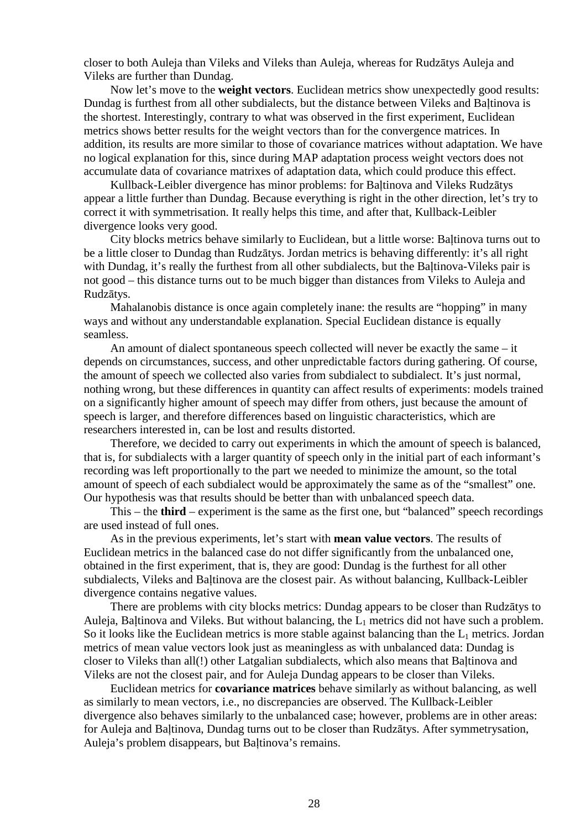closer to both Auleja than Vileks and Vileks than Auleja, whereas for Rudzātys Auleja and Vileks are further than Dundag.

Now let's move to the **weight vectors**. Euclidean metrics show unexpectedly good results: Dundag is furthest from all other subdialects, but the distance between Vileks and Baļtinova is the shortest. Interestingly, contrary to what was observed in the first experiment, Euclidean metrics shows better results for the weight vectors than for the convergence matrices. In addition, its results are more similar to those of covariance matrices without adaptation. We have no logical explanation for this, since during MAP adaptation process weight vectors does not accumulate data of covariance matrixes of adaptation data, which could produce this effect.

Kullback-Leibler divergence has minor problems: for Baļtinova and Vileks Rudzātys appear a little further than Dundag. Because everything is right in the other direction, let's try to correct it with symmetrisation. It really helps this time, and after that, Kullback-Leibler divergence looks very good.

City blocks metrics behave similarly to Euclidean, but a little worse: Baļtinova turns out to be a little closer to Dundag than Rudzātys. Jordan metrics is behaving differently: it's all right with Dundag, it's really the furthest from all other subdialects, but the Baltinova-Vileks pair is not good – this distance turns out to be much bigger than distances from Vileks to Auleja and Rudzātys.

Mahalanobis distance is once again completely inane: the results are "hopping" in many ways and without any understandable explanation. Special Euclidean distance is equally seamless.

An amount of dialect spontaneous speech collected will never be exactly the same – it depends on circumstances, success, and other unpredictable factors during gathering. Of course, the amount of speech we collected also varies from subdialect to subdialect. It's just normal, nothing wrong, but these differences in quantity can affect results of experiments: models trained on a significantly higher amount of speech may differ from others, just because the amount of speech is larger, and therefore differences based on linguistic characteristics, which are researchers interested in, can be lost and results distorted.

Therefore, we decided to carry out experiments in which the amount of speech is balanced, that is, for subdialects with a larger quantity of speech only in the initial part of each informant's recording was left proportionally to the part we needed to minimize the amount, so the total amount of speech of each subdialect would be approximately the same as of the "smallest" one. Our hypothesis was that results should be better than with unbalanced speech data.

This – the **third** – experiment is the same as the first one, but "balanced" speech recordings are used instead of full ones.

As in the previous experiments, let's start with **mean value vectors**. The results of Euclidean metrics in the balanced case do not differ significantly from the unbalanced one, obtained in the first experiment, that is, they are good: Dundag is the furthest for all other subdialects, Vileks and Baļtinova are the closest pair. As without balancing, Kullback-Leibler divergence contains negative values.

There are problems with city blocks metrics: Dundag appears to be closer than Rudzātys to Auleja, Baltinova and Vileks. But without balancing, the  $L_1$  metrics did not have such a problem. So it looks like the Euclidean metrics is more stable against balancing than the  $L_1$  metrics. Jordan metrics of mean value vectors look just as meaningless as with unbalanced data: Dundag is closer to Vileks than all(!) other Latgalian subdialects, which also means that Baļtinova and Vileks are not the closest pair, and for Auleja Dundag appears to be closer than Vileks.

Euclidean metrics for **covariance matrices** behave similarly as without balancing, as well as similarly to mean vectors, i.e., no discrepancies are observed. The Kullback-Leibler divergence also behaves similarly to the unbalanced case; however, problems are in other areas: for Auleja and Baļtinova, Dundag turns out to be closer than Rudzātys. After symmetrysation, Auleja's problem disappears, but Baļtinova's remains.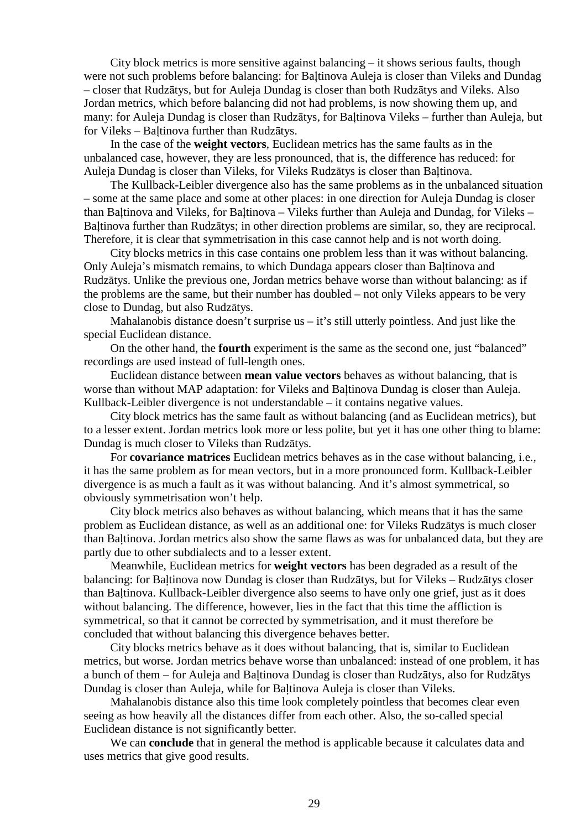City block metrics is more sensitive against balancing  $-$  it shows serious faults, though were not such problems before balancing: for Baļtinova Auleja is closer than Vileks and Dundag – closer that Rudzātys, but for Auleja Dundag is closer than both Rudzātys and Vileks. Also Jordan metrics, which before balancing did not had problems, is now showing them up, and many: for Auleja Dundag is closer than Rudzātys, for Baļtinova Vileks – further than Auleja, but for Vileks – Baļtinova further than Rudzātys.

In the case of the **weight vectors**, Euclidean metrics has the same faults as in the unbalanced case, however, they are less pronounced, that is, the difference has reduced: for Auleja Dundag is closer than Vileks, for Vileks Rudzātys is closer than Baļtinova.

The Kullback-Leibler divergence also has the same problems as in the unbalanced situation – some at the same place and some at other places: in one direction for Auleja Dundag is closer than Baltinova and Vileks, for Baltinova – Vileks further than Auleja and Dundag, for Vileks – Baļtinova further than Rudzātys; in other direction problems are similar, so, they are reciprocal. Therefore, it is clear that symmetrisation in this case cannot help and is not worth doing.

City blocks metrics in this case contains one problem less than it was without balancing. Only Auleja's mismatch remains, to which Dundaga appears closer than Baļtinova and Rudzātys. Unlike the previous one, Jordan metrics behave worse than without balancing: as if the problems are the same, but their number has doubled – not only Vileks appears to be very close to Dundag, but also Rudzātys.

Mahalanobis distance doesn't surprise us – it's still utterly pointless. And just like the special Euclidean distance.

On the other hand, the **fourth** experiment is the same as the second one, just "balanced" recordings are used instead of full-length ones.

Euclidean distance between **mean value vectors** behaves as without balancing, that is worse than without MAP adaptation: for Vileks and Baļtinova Dundag is closer than Auleja. Kullback-Leibler divergence is not understandable – it contains negative values.

City block metrics has the same fault as without balancing (and as Euclidean metrics), but to a lesser extent. Jordan metrics look more or less polite, but yet it has one other thing to blame: Dundag is much closer to Vileks than Rudzātys.

For **covariance matrices** Euclidean metrics behaves as in the case without balancing, i.e., it has the same problem as for mean vectors, but in a more pronounced form. Kullback-Leibler divergence is as much a fault as it was without balancing. And it's almost symmetrical, so obviously symmetrisation won't help.

City block metrics also behaves as without balancing, which means that it has the same problem as Euclidean distance, as well as an additional one: for Vileks Rudzātys is much closer than Baļtinova. Jordan metrics also show the same flaws as was for unbalanced data, but they are partly due to other subdialects and to a lesser extent.

Meanwhile, Euclidean metrics for **weight vectors** has been degraded as a result of the balancing: for Baļtinova now Dundag is closer than Rudzātys, but for Vileks – Rudzātys closer than Baļtinova. Kullback-Leibler divergence also seems to have only one grief, just as it does without balancing. The difference, however, lies in the fact that this time the affliction is symmetrical, so that it cannot be corrected by symmetrisation, and it must therefore be concluded that without balancing this divergence behaves better.

City blocks metrics behave as it does without balancing, that is, similar to Euclidean metrics, but worse. Jordan metrics behave worse than unbalanced: instead of one problem, it has a bunch of them – for Auleja and Baļtinova Dundag is closer than Rudzātys, also for Rudzātys Dundag is closer than Auleja, while for Baļtinova Auleja is closer than Vileks.

Mahalanobis distance also this time look completely pointless that becomes clear even seeing as how heavily all the distances differ from each other. Also, the so-called special Euclidean distance is not significantly better.

We can **conclude** that in general the method is applicable because it calculates data and uses metrics that give good results.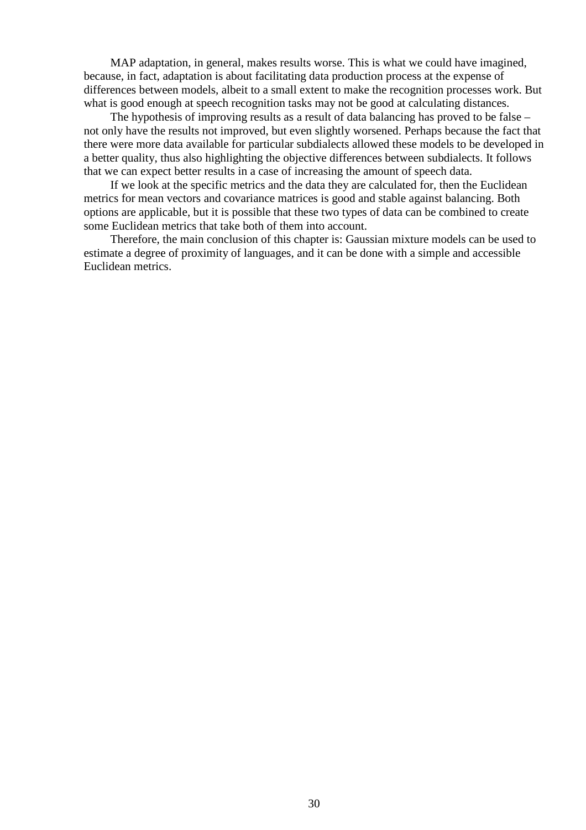MAP adaptation, in general, makes results worse. This is what we could have imagined, because, in fact, adaptation is about facilitating data production process at the expense of differences between models, albeit to a small extent to make the recognition processes work. But what is good enough at speech recognition tasks may not be good at calculating distances.

The hypothesis of improving results as a result of data balancing has proved to be false – not only have the results not improved, but even slightly worsened. Perhaps because the fact that there were more data available for particular subdialects allowed these models to be developed in a better quality, thus also highlighting the objective differences between subdialects. It follows that we can expect better results in a case of increasing the amount of speech data.

If we look at the specific metrics and the data they are calculated for, then the Euclidean metrics for mean vectors and covariance matrices is good and stable against balancing. Both options are applicable, but it is possible that these two types of data can be combined to create some Euclidean metrics that take both of them into account.

Therefore, the main conclusion of this chapter is: Gaussian mixture models can be used to estimate a degree of proximity of languages, and it can be done with a simple and accessible Euclidean metrics.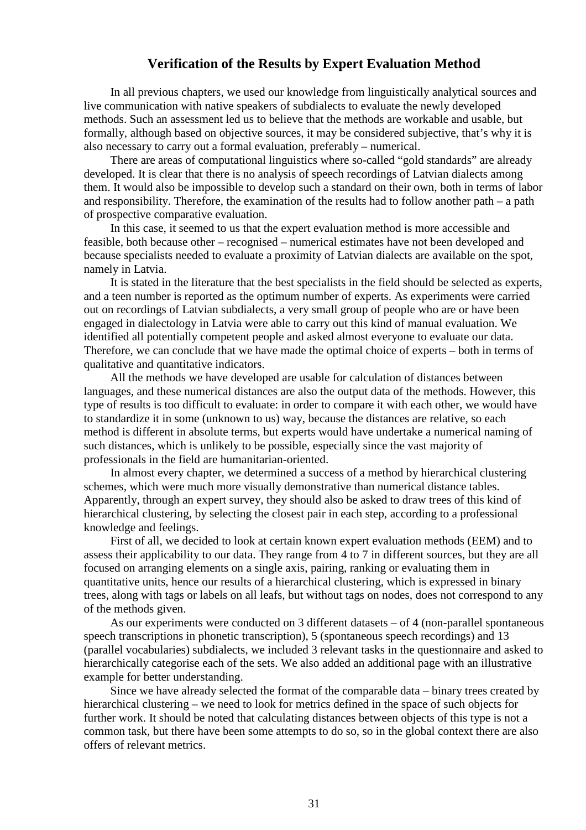## **Verification of the Results by Expert Evaluation Method**

In all previous chapters, we used our knowledge from linguistically analytical sources and live communication with native speakers of subdialects to evaluate the newly developed methods. Such an assessment led us to believe that the methods are workable and usable, but formally, although based on objective sources, it may be considered subjective, that's why it is also necessary to carry out a formal evaluation, preferably – numerical.

There are areas of computational linguistics where so-called "gold standards" are already developed. It is clear that there is no analysis of speech recordings of Latvian dialects among them. It would also be impossible to develop such a standard on their own, both in terms of labor and responsibility. Therefore, the examination of the results had to follow another path – a path of prospective comparative evaluation.

In this case, it seemed to us that the expert evaluation method is more accessible and feasible, both because other – recognised – numerical estimates have not been developed and because specialists needed to evaluate a proximity of Latvian dialects are available on the spot, namely in Latvia.

It is stated in the literature that the best specialists in the field should be selected as experts, and a teen number is reported as the optimum number of experts. As experiments were carried out on recordings of Latvian subdialects, a very small group of people who are or have been engaged in dialectology in Latvia were able to carry out this kind of manual evaluation. We identified all potentially competent people and asked almost everyone to evaluate our data. Therefore, we can conclude that we have made the optimal choice of experts – both in terms of qualitative and quantitative indicators.

All the methods we have developed are usable for calculation of distances between languages, and these numerical distances are also the output data of the methods. However, this type of results is too difficult to evaluate: in order to compare it with each other, we would have to standardize it in some (unknown to us) way, because the distances are relative, so each method is different in absolute terms, but experts would have undertake a numerical naming of such distances, which is unlikely to be possible, especially since the vast majority of professionals in the field are humanitarian-oriented.

In almost every chapter, we determined a success of a method by hierarchical clustering schemes, which were much more visually demonstrative than numerical distance tables. Apparently, through an expert survey, they should also be asked to draw trees of this kind of hierarchical clustering, by selecting the closest pair in each step, according to a professional knowledge and feelings.

First of all, we decided to look at certain known expert evaluation methods (EEM) and to assess their applicability to our data. They range from 4 to 7 in different sources, but they are all focused on arranging elements on a single axis, pairing, ranking or evaluating them in quantitative units, hence our results of a hierarchical clustering, which is expressed in binary trees, along with tags or labels on all leafs, but without tags on nodes, does not correspond to any of the methods given.

As our experiments were conducted on 3 different datasets – of 4 (non-parallel spontaneous speech transcriptions in phonetic transcription), 5 (spontaneous speech recordings) and 13 (parallel vocabularies) subdialects, we included 3 relevant tasks in the questionnaire and asked to hierarchically categorise each of the sets. We also added an additional page with an illustrative example for better understanding.

Since we have already selected the format of the comparable data – binary trees created by hierarchical clustering – we need to look for metrics defined in the space of such objects for further work. It should be noted that calculating distances between objects of this type is not a common task, but there have been some attempts to do so, so in the global context there are also offers of relevant metrics.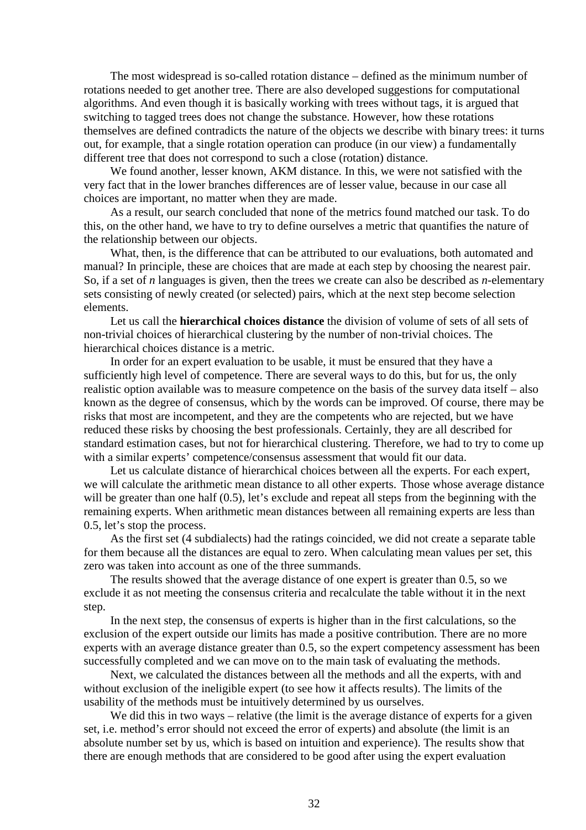The most widespread is so-called rotation distance – defined as the minimum number of rotations needed to get another tree. There are also developed suggestions for computational algorithms. And even though it is basically working with trees without tags, it is argued that switching to tagged trees does not change the substance. However, how these rotations themselves are defined contradicts the nature of the objects we describe with binary trees: it turns out, for example, that a single rotation operation can produce (in our view) a fundamentally different tree that does not correspond to such a close (rotation) distance.

We found another, lesser known, AKM distance. In this, we were not satisfied with the very fact that in the lower branches differences are of lesser value, because in our case all choices are important, no matter when they are made.

As a result, our search concluded that none of the metrics found matched our task. To do this, on the other hand, we have to try to define ourselves a metric that quantifies the nature of the relationship between our objects.

What, then, is the difference that can be attributed to our evaluations, both automated and manual? In principle, these are choices that are made at each step by choosing the nearest pair. So, if a set of *n* languages is given, then the trees we create can also be described as *n*-elementary sets consisting of newly created (or selected) pairs, which at the next step become selection elements.

Let us call the **hierarchical choices distance** the division of volume of sets of all sets of non-trivial choices of hierarchical clustering by the number of non-trivial choices. The hierarchical choices distance is a metric.

In order for an expert evaluation to be usable, it must be ensured that they have a sufficiently high level of competence. There are several ways to do this, but for us, the only realistic option available was to measure competence on the basis of the survey data itself – also known as the degree of consensus, which by the words can be improved. Of course, there may be risks that most are incompetent, and they are the competents who are rejected, but we have reduced these risks by choosing the best professionals. Certainly, they are all described for standard estimation cases, but not for hierarchical clustering. Therefore, we had to try to come up with a similar experts' competence/consensus assessment that would fit our data.

Let us calculate distance of hierarchical choices between all the experts. For each expert, we will calculate the arithmetic mean distance to all other experts. Those whose average distance will be greater than one half (0.5), let's exclude and repeat all steps from the beginning with the remaining experts. When arithmetic mean distances between all remaining experts are less than 0.5, let's stop the process.

As the first set (4 subdialects) had the ratings coincided, we did not create a separate table for them because all the distances are equal to zero. When calculating mean values per set, this zero was taken into account as one of the three summands.

The results showed that the average distance of one expert is greater than 0.5, so we exclude it as not meeting the consensus criteria and recalculate the table without it in the next step.

In the next step, the consensus of experts is higher than in the first calculations, so the exclusion of the expert outside our limits has made a positive contribution. There are no more experts with an average distance greater than 0.5, so the expert competency assessment has been successfully completed and we can move on to the main task of evaluating the methods.

Next, we calculated the distances between all the methods and all the experts, with and without exclusion of the ineligible expert (to see how it affects results). The limits of the usability of the methods must be intuitively determined by us ourselves.

We did this in two ways – relative (the limit is the average distance of experts for a given set, i.e. method's error should not exceed the error of experts) and absolute (the limit is an absolute number set by us, which is based on intuition and experience). The results show that there are enough methods that are considered to be good after using the expert evaluation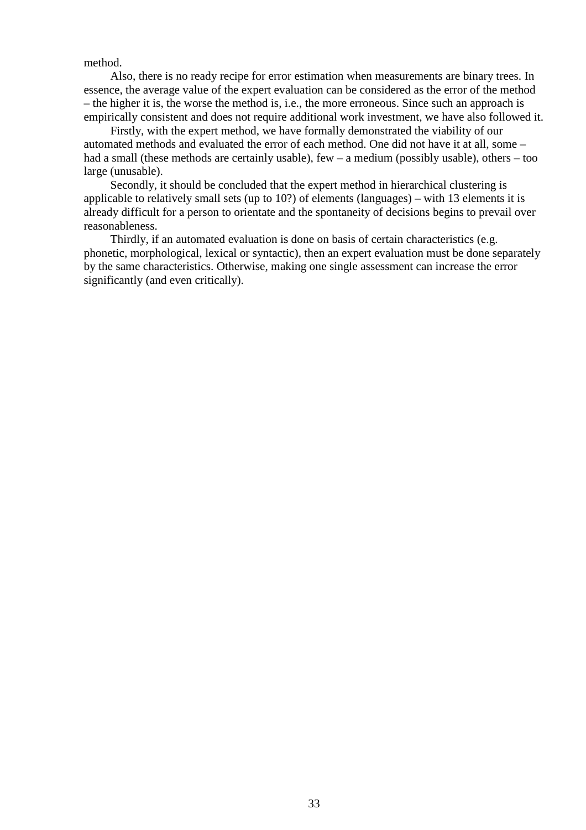method.

Also, there is no ready recipe for error estimation when measurements are binary trees. In essence, the average value of the expert evaluation can be considered as the error of the method – the higher it is, the worse the method is, i.e., the more erroneous. Since such an approach is empirically consistent and does not require additional work investment, we have also followed it.

Firstly, with the expert method, we have formally demonstrated the viability of our automated methods and evaluated the error of each method. One did not have it at all, some – had a small (these methods are certainly usable), few – a medium (possibly usable), others – too large (unusable).

Secondly, it should be concluded that the expert method in hierarchical clustering is applicable to relatively small sets (up to 10?) of elements (languages) – with 13 elements it is already difficult for a person to orientate and the spontaneity of decisions begins to prevail over reasonableness.

Thirdly, if an automated evaluation is done on basis of certain characteristics (e.g. phonetic, morphological, lexical or syntactic), then an expert evaluation must be done separately by the same characteristics. Otherwise, making one single assessment can increase the error significantly (and even critically).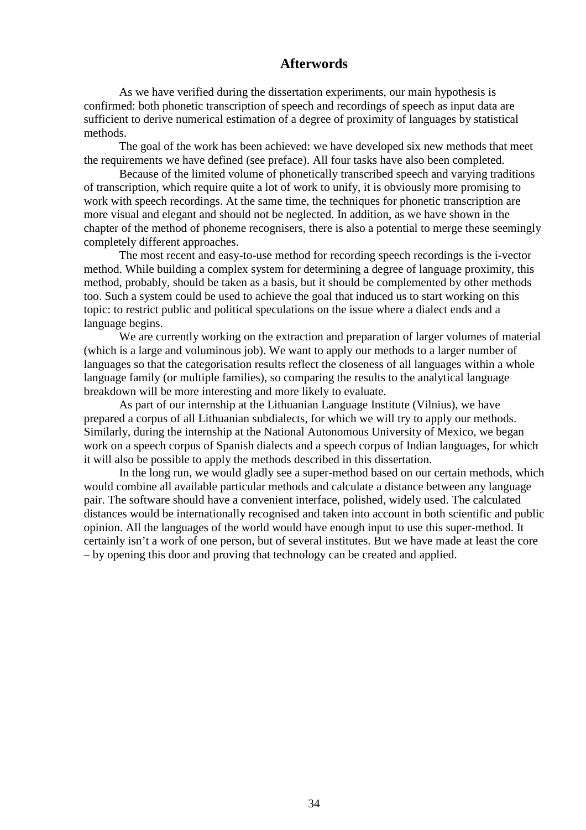# **Afterwords**

 As we have verified during the dissertation experiments, our main hypothesis is confirmed: both phonetic transcription of speech and recordings of speech as input data are sufficient to derive numerical estimation of a degree of proximity of languages by statistical methods.

 The goal of the work has been achieved: we have developed six new methods that meet the requirements we have defined (see preface). All four tasks have also been completed.

 Because of the limited volume of phonetically transcribed speech and varying traditions of transcription, which require quite a lot of work to unify, it is obviously more promising to work with speech recordings. At the same time, the techniques for phonetic transcription are more visual and elegant and should not be neglected. In addition, as we have shown in the chapter of the method of phoneme recognisers, there is also a potential to merge these seemingly completely different approaches.

 The most recent and easy-to-use method for recording speech recordings is the i-vector method. While building a complex system for determining a degree of language proximity, this method, probably, should be taken as a basis, but it should be complemented by other methods too. Such a system could be used to achieve the goal that induced us to start working on this topic: to restrict public and political speculations on the issue where a dialect ends and a language begins.

 We are currently working on the extraction and preparation of larger volumes of material (which is a large and voluminous job). We want to apply our methods to a larger number of languages so that the categorisation results reflect the closeness of all languages within a whole language family (or multiple families), so comparing the results to the analytical language breakdown will be more interesting and more likely to evaluate.

 As part of our internship at the Lithuanian Language Institute (Vilnius), we have prepared a corpus of all Lithuanian subdialects, for which we will try to apply our methods. Similarly, during the internship at the National Autonomous University of Mexico, we began work on a speech corpus of Spanish dialects and a speech corpus of Indian languages, for which it will also be possible to apply the methods described in this dissertation.

 In the long run, we would gladly see a super-method based on our certain methods, which would combine all available particular methods and calculate a distance between any language pair. The software should have a convenient interface, polished, widely used. The calculated distances would be internationally recognised and taken into account in both scientific and public opinion. All the languages of the world would have enough input to use this super-method. It certainly isn't a work of one person, but of several institutes. But we have made at least the core – by opening this door and proving that technology can be created and applied.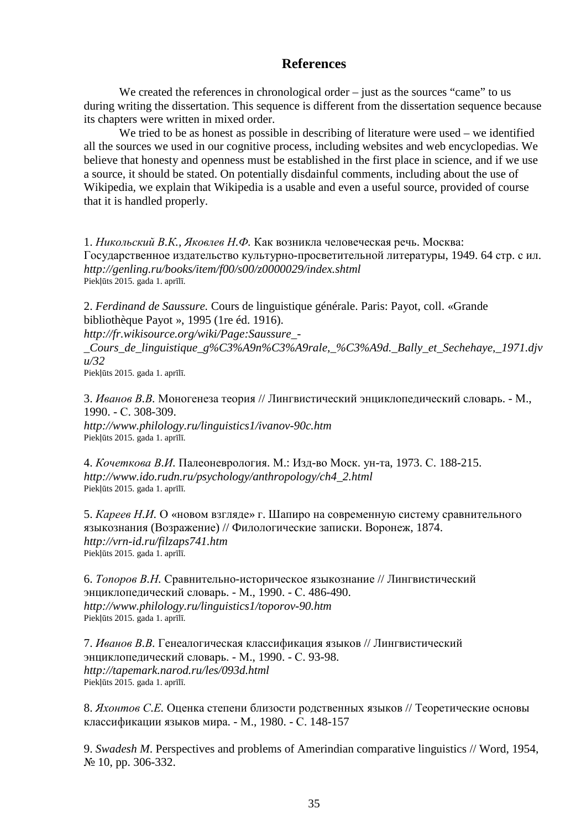# **References**

We created the references in chronological order – just as the sources "came" to us during writing the dissertation. This sequence is different from the dissertation sequence because its chapters were written in mixed order.

We tried to be as honest as possible in describing of literature were used – we identified all the sources we used in our cognitive process, including websites and web encyclopedias. We believe that honesty and openness must be established in the first place in science, and if we use a source, it should be stated. On potentially disdainful comments, including about the use of Wikipedia, we explain that Wikipedia is a usable and even a useful source, provided of course that it is handled properly.

1. *Никольский В.К., Яковлев Н.Ф.* Как возникла человеческая речь. Москва: Государственное издательство культурно-просветительной литературы, 1949. 64 стр. с ил. *http://genling.ru/books/item/f00/s00/z0000029/index.shtml*  Piekļūts 2015. gada 1. aprīlī.

2. *Ferdinand de Saussure.* Cours de linguistique générale. Paris: Payot, coll. «Grande bibliothèque Payot », 1995 (1re éd. 1916).

*http://fr.wikisource.org/wiki/Page:Saussure\_-*

*\_Cours\_de\_linguistique\_g%C3%A9n%C3%A9rale,\_%C3%A9d.\_Bally\_et\_Sechehaye,\_1971.djv u/32* Piekļūts 2015. gada 1. aprīlī.

3. *Иванов В.В.* Моногенеза теория // Лингвистический энциклопедический словарь. - М., 1990. - С. 308-309. *http://www.philology.ru/linguistics1/ivanov-90c.htm* Piekļūts 2015. gada 1. aprīlī.

4. *Кочеткова В.И.* Палеоневрология. М.: Изд-во Моск. ун-та, 1973. С. 188-215. *http://www.ido.rudn.ru/psychology/anthropology/ch4\_2.html* Piekļūts 2015. gada 1. aprīlī.

5. *Кареев Н.И.* О «новом взгляде» г. Шапиро на современную систему сравнительного языкознания (Возражение) // Филологические записки. Воронеж, 1874. *http://vrn-id.ru/filzaps741.htm* Piekļūts 2015. gada 1. aprīlī.

6. *Топоров В.Н.* Сравнительно-историческое языкознание // Лингвистический энциклопедический словарь. - М., 1990. - С. 486-490. *http://www.philology.ru/linguistics1/toporov-90.htm* Piekļūts 2015. gada 1. aprīlī.

7. *Иванов В.В.* Генеалогическая классификация языков // Лингвистический энциклопедический словарь. - М., 1990. - С. 93-98. *http://tapemark.narod.ru/les/093d.html* Piekļūts 2015. gada 1. aprīlī.

8. *Яхонтов С.Е.* Оценка степени близости родственных языков // Теоретические основы классификации языков мира. - М., 1980. - С. 148-157

9. *Swadesh M*. Perspectives and problems of Amerindian comparative linguistics // Word, 1954, № 10, pp. 306-332.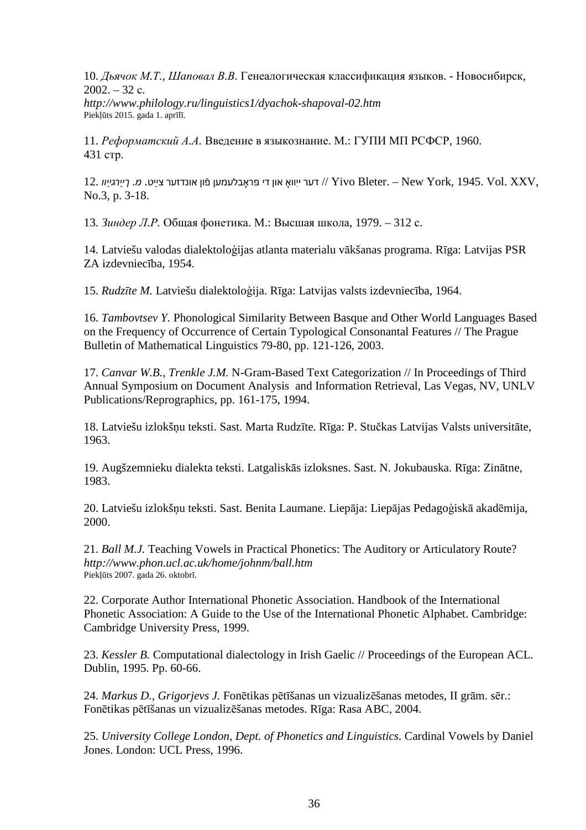10. *Дьячок М.Т., Шаповал В.В.* Генеалогическая классификация языков. - Новосибирск,  $2002. - 32$  c.

*http://www.philology.ru/linguistics1/dyachok-shapoval-02.htm* Piekļūts 2015. gada 1. aprīlī.

11. *Реформатский А.А.* Введение в языкознание. М.: ГУПИ МП РСФСР, 1960. 431 стр.

 ,XXV .Vol 1945. ,York New – .Bleter Yivo // דער ייִוואָ און די פּראָ בלעמען פֿון אונדזער צײַ ט. *מ. ךײַ רגײַ וו* 12. No.3, p. 3-18.

13. *Зиндер Л.Р.* Общая фонетика. М.: Высшая школа, 1979. – 312 с.

14. Latviešu valodas dialektoloģijas atlanta materialu vākšanas programa. Rīga: Latvijas PSR ZA izdevniecība, 1954.

15. *Rudzīte M.* Latviešu dialektoloģija. Rīga: Latvijas valsts izdevniecība, 1964.

16. *Tambovtsev Y.* Phonological Similarity Between Basque and Other World Languages Based on the Frequency of Occurrence of Certain Typological Consonantal Features // The Prague Bulletin of Mathematical Linguistics 79-80, pp. 121-126, 2003.

17. *Canvar W.B., Trenkle J.M.* N-Gram-Based Text Categorization // In Proceedings of Third Annual Symposium on Document Analysis and Information Retrieval, Las Vegas, NV, UNLV Publications/Reprographics, pp. 161-175, 1994.

18. Latviešu izlokšņu teksti. Sast. Marta Rudzīte. Rīga: P. Stučkas Latvijas Valsts universitāte, 1963.

19. Augšzemnieku dialekta teksti. Latgaliskās izloksnes. Sast. N. Jokubauska. Rīga: Zinātne, 1983.

20. Latviešu izlokšņu teksti. Sast. Benita Laumane. Liepāja: Liepājas Pedagoģiskā akadēmija, 2000.

21. *Ball M.J.* Teaching Vowels in Practical Phonetics: The Auditory or Articulatory Route? *http://www.phon.ucl.ac.uk/home/johnm/ball.htm*  Piekļūts 2007. gada 26. oktobrī.

22. Corporate Author International Phonetic Association. Handbook of the International Phonetic Association: A Guide to the Use of the International Phonetic Alphabet. Cambridge: Cambridge University Press, 1999.

23. *Kessler B.* Computational dialectology in Irish Gaelic // Proceedings of the European ACL. Dublin, 1995. Pp. 60-66.

24. *Markus D., Grigorjevs J.* Fonētikas pētīšanas un vizualizēšanas metodes, II grām. sēr.: Fonētikas pētīšanas un vizualizēšanas metodes. Rīga: Rasa ABC, 2004.

25. *University College London, Dept. of Phonetics and Linguistics.* Cardinal Vowels by Daniel Jones. London: UCL Press, 1996.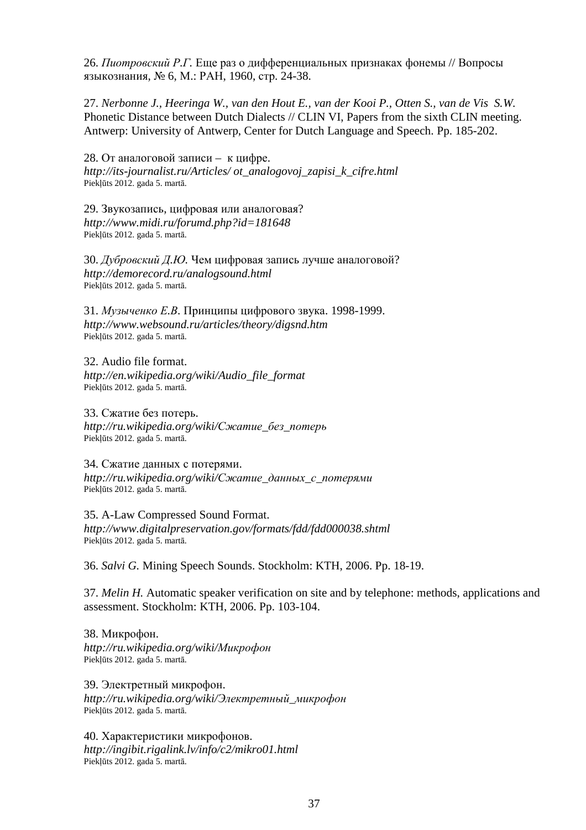26. *Пиотровский Р.Г.* Еще раз о дифференциальных признаках фонемы // Вопросы языкознания, № 6, М.: РАН, 1960, стр. 24-38.

27. *Nerbonne J., Heeringa W., van den Hout E., van der Kooi P., Otten S., van de Vis S.W.* Phonetic Distance between Dutch Dialects // CLIN VI, Papers from the sixth CLIN meeting. Antwerp: University of Antwerp, Center for Dutch Language and Speech. Pp. 185-202.

28. От аналоговой записи – к цифре. *http://its-journalist.ru/Articles/ ot\_analogovoj\_zapisi\_k\_cifre.html*  Piekļūts 2012. gada 5. martā.

29. Звукозапись, цифровая или аналоговая? *http://www.midi.ru/forumd.php?id=181648*  Piekļūts 2012. gada 5. martā.

30. *Дубровский Д.Ю.* Чем цифровая запись лучше аналоговой? *http://demorecord.ru/analogsound.html*  Piekļūts 2012. gada 5. martā.

31. *Музыченко Е.В.* Принципы цифрового звука. 1998-1999. *http://www.websound.ru/articles/theory/digsnd.htm*  Piekļūts 2012. gada 5. martā.

32. Audio file format. *http://en.wikipedia.org/wiki/Audio\_file\_format*  Piekļūts 2012. gada 5. martā.

33. Сжатие без потерь. *http://ru.wikipedia.org/wiki/Сжатие\_без\_потерь* Piekļūts 2012. gada 5. martā.

34. Сжатие данных с потерями. *http://ru.wikipedia.org/wiki/Сжатие\_данных\_с\_потерями* Piekļūts 2012. gada 5. martā.

35. A-Law Compressed Sound Format. *http://www.digitalpreservation.gov/formats/fdd/fdd000038.shtml*  Piekļūts 2012. gada 5. martā.

36. *Salvi G.* Mining Speech Sounds. Stockholm: KTH, 2006. Pp. 18-19.

37. *Melin H.* Automatic speaker verification on site and by telephone: methods, applications and assessment. Stockholm: KTH, 2006. Pp. 103-104.

38. Микрофон. *http://ru.wikipedia.org/wiki/Микрофон* Piekļūts 2012. gada 5. martā.

39. Электретный микрофон. *http://ru.wikipedia.org/wiki/Электретный\_микрофон* Piekļūts 2012. gada 5. martā.

40. Характеристики микрофонов. *http://ingibit.rigalink.lv/info/c2/mikro01.html*  Piekļūts 2012. gada 5. martā.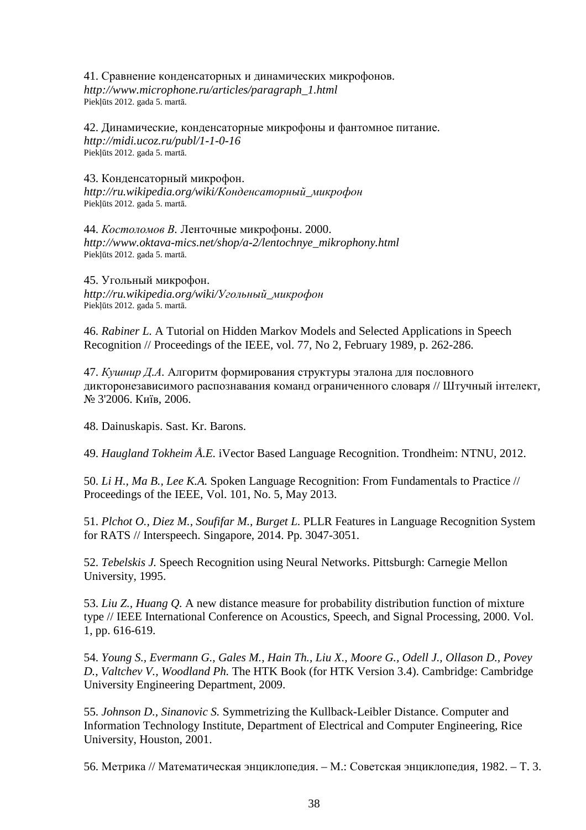41. Сравнение конденсаторных и динамических микрофонов. *http://www.microphone.ru/articles/paragraph\_1.html*  Piekļūts 2012. gada 5. martā.

42. Динамические, конденсаторные микрофоны и фантомное питание. *http://midi.ucoz.ru/publ/1-1-0-16*  Piekļūts 2012. gada 5. martā.

43. Конденсаторный микрофон. *http://ru.wikipedia.org/wiki/Конденсаторный\_микрофон* Piekļūts 2012. gada 5. martā.

44. *Костоломов В.* Ленточные микрофоны. 2000. *http://www.oktava-mics.net/shop/a-2/lentochnye\_mikrophony.html*  Piekļūts 2012. gada 5. martā.

45. Угольный микрофон. *http://ru.wikipedia.org/wiki/Угольный\_микрофон* Piekļūts 2012. gada 5. martā.

46. *Rabiner L.* A Tutorial on Hidden Markov Models and Selected Applications in Speech Recognition // Proceedings of the IEEE, vol. 77, No 2, February 1989, p. 262-286.

47. *Кушнир Д.А.* Алгоритм формирования структуры эталона для пословного дикторонезависимого распознавания команд ограниченного словаря // Штучный інтелект, № 3'2006. Київ, 2006.

48. Dainuskapis. Sast. Kr. Barons.

49. *Haugland Tokheim Å.E.* iVector Based Language Recognition. Trondheim: NTNU, 2012.

50. *Li H., Ma B., Lee K.A.* Spoken Language Recognition: From Fundamentals to Practice // Proceedings of the IEEE, Vol. 101, No. 5, May 2013.

51. *Plchot O., Diez M., Soufifar M., Burget L.* PLLR Features in Language Recognition System for RATS // Interspeech. Singapore, 2014. Pp. 3047-3051.

52. *Tebelskis J.* Speech Recognition using Neural Networks. Pittsburgh: Carnegie Mellon University, 1995.

53. *Liu Z., Huang Q.* A new distance measure for probability distribution function of mixture type // IEEE International Conference on Acoustics, Speech, and Signal Processing, 2000. Vol. 1, pp. 616-619.

54. *Young S., Evermann G., Gales M., Hain Th., Liu X., Moore G., Odell J., Ollason D., Povey D., Valtchev V., Woodland Ph.* The HTK Book (for HTK Version 3.4). Cambridge: Cambridge University Engineering Department, 2009.

55. *Johnson D., Sinanovic S.* Symmetrizing the Kullback-Leibler Distance. Computer and Information Technology Institute, Department of Electrical and Computer Engineering, Rice University, Houston, 2001.

56. Метрика // Математическая энциклопедия. – М.: Советская энциклопедия, 1982. – Т. 3.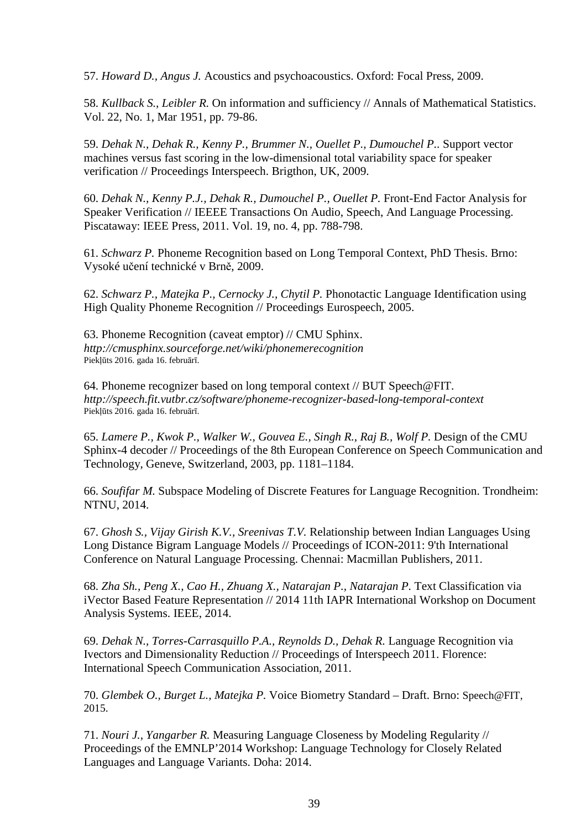57. *Howard D., Angus J.* Acoustics and psychoacoustics. Oxford: Focal Press, 2009.

58. *Kullback S., Leibler R.* On information and sufficiency // Annals of Mathematical Statistics. Vol. 22, No. 1, Mar 1951, pp. 79-86.

59. *Dehak N., Dehak R., Kenny P., Brummer N., Ouellet P., Dumouchel P..* Support vector machines versus fast scoring in the low-dimensional total variability space for speaker verification // Proceedings Interspeech. Brigthon, UK, 2009.

60. *Dehak N., Kenny P.J., Dehak R., Dumouchel P., Ouellet P.* Front-End Factor Analysis for Speaker Verification // IEEEE Transactions On Audio, Speech, And Language Processing. Piscataway: IEEE Press, 2011. Vol. 19, no. 4, pp. 788-798.

61. *Schwarz P.* Phoneme Recognition based on Long Temporal Context, PhD Thesis. Brno: Vysoké učení technické v Brně, 2009.

62. *Schwarz P., Matejka P., Cernocky J., Chytil P.* Phonotactic Language Identification using High Quality Phoneme Recognition // Proceedings Eurospeech, 2005.

63. Phoneme Recognition (caveat emptor) // CMU Sphinx. *http://cmusphinx.sourceforge.net/wiki/phonemerecognition* Piekļūts 2016. gada 16. februārī.

64. Phoneme recognizer based on long temporal context // BUT Speech@FIT. *http://speech.fit.vutbr.cz/software/phoneme-recognizer-based-long-temporal-context* Piekļūts 2016. gada 16. februārī.

65. *Lamere P., Kwok P., Walker W., Gouvea E., Singh R., Raj B., Wolf P.* Design of the CMU Sphinx-4 decoder // Proceedings of the 8th European Conference on Speech Communication and Technology, Geneve, Switzerland, 2003, pp. 1181–1184.

66. *Soufifar M.* Subspace Modeling of Discrete Features for Language Recognition. Trondheim: NTNU, 2014.

67. *Ghosh S., Vijay Girish K.V., Sreenivas T.V.* Relationship between Indian Languages Using Long Distance Bigram Language Models // Proceedings of ICON-2011: 9'th International Conference on Natural Language Processing. Chennai: Macmillan Publishers, 2011.

68. *Zha Sh., Peng X., Cao H., Zhuang X., Natarajan P., Natarajan P.* Text Classification via iVector Based Feature Representation // 2014 11th IAPR International Workshop on Document Analysis Systems. IEEE, 2014.

69. *Dehak N., Torres-Carrasquillo P.A., Reynolds D., Dehak R.* Language Recognition via Ivectors and Dimensionality Reduction // Proceedings of Interspeech 2011. Florence: International Speech Communication Association, 2011.

70. *Glembek O., Burget L., Matejka P.* Voice Biometry Standard – Draft. Brno: Speech@FIT, 2015.

71. *Nouri J., Yangarber R.* Measuring Language Closeness by Modeling Regularity // Proceedings of the EMNLP'2014 Workshop: Language Technology for Closely Related Languages and Language Variants. Doha: 2014.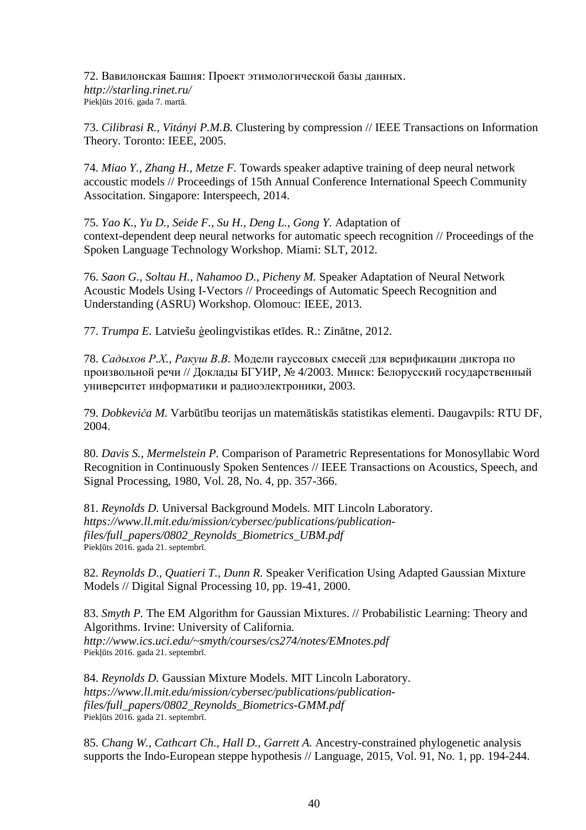72. Вавилонская Башня: Проект этимологической базы данных. *http://starling.rinet.ru/*  Piekļūts 2016. gada 7. martā.

73. *Cilibrasi R., Vitányi P.M.B.* Clustering by compression // IEEE Transactions on Information Theory. Toronto: IEEE, 2005.

74. *Miao Y., Zhang H., Metze F.* Towards speaker adaptive training of deep neural network accoustic models // Proceedings of 15th Annual Conference International Speech Community Associtation. Singapore: Interspeech, 2014.

75. *Yao K., Yu D., Seide F., Su H., Deng L., Gong Y.* Adaptation of context-dependent deep neural networks for automatic speech recognition // Proceedings of the Spoken Language Technology Workshop. Miami: SLT, 2012.

76. *Saon G., Soltau H., Nahamoo D., Picheny M.* Speaker Adaptation of Neural Network Acoustic Models Using I-Vectors // Proceedings of Automatic Speech Recognition and Understanding (ASRU) Workshop. Olomouc: IEEE, 2013.

77. *Trumpa E.* Latviešu ģeolingvistikas etīdes. R.: Zinātne, 2012.

78. *Садыхов Р.Х., Ракуш В.В.* Модели гауссовых смесей для верификации диктора по произвольной речи // Доклады БГУИР, № 4/2003. Минск: Белорусский государственный университет информатики и радиоэлектроники, 2003.

79. *Dobkeviča M.* Varbūtību teorijas un matemātiskās statistikas elementi. Daugavpils: RTU DF, 2004.

80. *Davis S., Mermelstein P.* Comparison of Parametric Representations for Monosyllabic Word Recognition in Continuously Spoken Sentences // IEEE Transactions on Acoustics, Speech, and Signal Processing, 1980, Vol. 28, No. 4, pp. 357-366.

81. *Reynolds D.* Universal Background Models. MIT Lincoln Laboratory. *https://www.ll.mit.edu/mission/cybersec/publications/publicationfiles/full\_papers/0802\_Reynolds\_Biometrics\_UBM.pdf* Piekļūts 2016. gada 21. septembrī.

82. *Reynolds D., Quatieri T., Dunn R.* Speaker Verification Using Adapted Gaussian Mixture Models // Digital Signal Processing 10, pp. 19-41, 2000.

83. *Smyth P.* The EM Algorithm for Gaussian Mixtures. // Probabilistic Learning: Theory and Algorithms. Irvine: University of California. *http://www.ics.uci.edu/~smyth/courses/cs274/notes/EMnotes.pdf* Piekļūts 2016. gada 21. septembrī.

84. *Reynolds D.* Gaussian Mixture Models. MIT Lincoln Laboratory. *https://www.ll.mit.edu/mission/cybersec/publications/publicationfiles/full\_papers/0802\_Reynolds\_Biometrics-GMM.pdf*  Piekļūts 2016. gada 21. septembrī.

85. *Chang W., Cathcart Ch., Hall D., Garrett A.* Ancestry-constrained phylogenetic analysis supports the Indo-European steppe hypothesis // Language, 2015, Vol. 91, No. 1, pp. 194-244.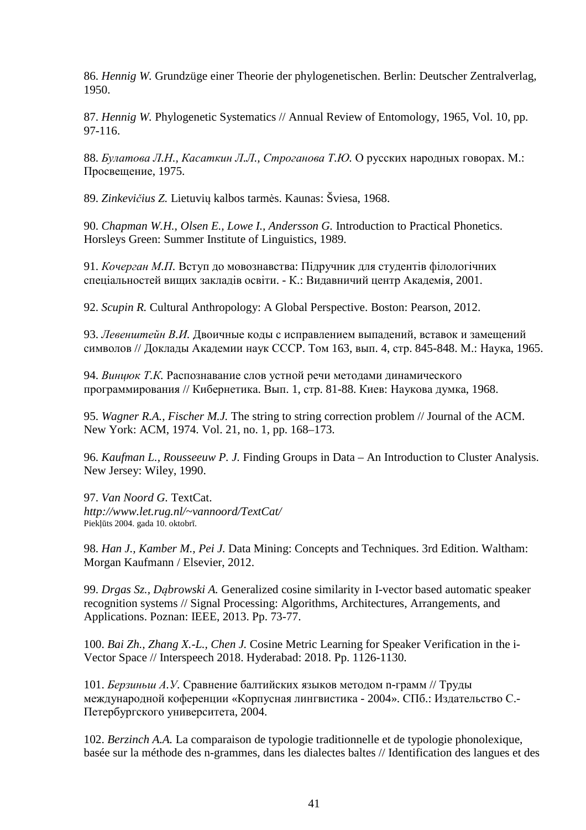86. *Hennig W.* Grundzüge einer Theorie der phylogenetischen. Berlin: Deutscher Zentralverlag, 1950.

87. *Hennig W.* Phylogenetic Systematics // Annual Review of Entomology, 1965, Vol. 10, pp. 97-116.

88. *Булатова Л.Н., Касаткин Л.Л., Строганова Т.Ю.* О русских народных говорах. М.: Просвещение, 1975.

89. *Zinkevičius Z.* Lietuvių kalbos tarmės. Kaunas: Šviesa, 1968.

90. *Chapman W.H., Olsen E., Lowe I., Andersson G.* Introduction to Practical Phonetics. Horsleys Green: Summer Institute of Linguistics, 1989.

91. *Кочерган М.П.* Вступ до мовознавства: Підручник для студентів філологічних спеціальностей вищих закладів освіти. - К.: Видавничий центр Академія, 2001.

92. *Scupin R.* Cultural Anthropology: A Global Perspective. Boston: Pearson, 2012.

93. *Левенштейн В.И.* Двоичные коды с исправлением выпадений, вставок и замещений символов // Доклады Академии наук СССР. Том 163, вып. 4, стр. 845-848. М.: Наука, 1965.

94. *Винцюк Т.К.* Распознавание слов устной речи методами динамического программирования // Кибернетика. Вып. 1, стр. 81-88. Киев: Наукова думка, 1968.

95. *Wagner R.A., Fischer M.J.* The string to string correction problem // Journal of the ACM. New York: ACM, 1974. Vol. 21, no. 1, pp. 168–173.

96. *Kaufman L., Rousseeuw P. J.* Finding Groups in Data – An Introduction to Cluster Analysis. New Jersey: Wiley, 1990.

97. *Van Noord G.* TextCat. *http://www.let.rug.nl/~vannoord/TextCat/*  Piekļūts 2004. gada 10. oktobrī.

98. *Han J., Kamber M., Pei J.* Data Mining: Concepts and Techniques. 3rd Edition. Waltham: Morgan Kaufmann / Elsevier, 2012.

99. *Drgas Sz., Dąbrowski A.* Generalized cosine similarity in I-vector based automatic speaker recognition systems // Signal Processing: Algorithms, Architectures, Arrangements, and Applications. Poznan: IEEE, 2013. Pp. 73-77.

100. *Bai Zh., Zhang X.-L., Chen J.* Cosine Metric Learning for Speaker Verification in the i-Vector Space // Interspeech 2018. Hyderabad: 2018. Pp. 1126-1130.

101. *Берзиньш А.У.* Сравнение балтийских языков методом n-грамм // Труды международной коференции «Корпусная лингвистика - 2004». СПб.: Издательство С.- Петербургского университета, 2004.

102. *Berzinch A.A.* La comparaison de typologie traditionnelle et de typologie phonolexique, basée sur la méthode des n-grammes, dans les dialectes baltes // Identification des langues et des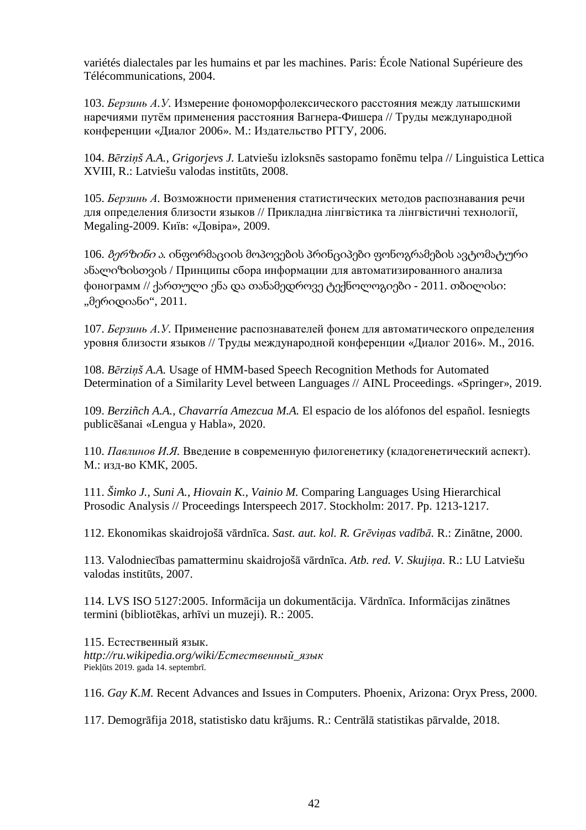variétés dialectales par les humains et par les machines. Paris: École National Supérieure des Télécommunications, 2004.

103. *Берзинь А.У.* Измерение фономорфолексического расстояния между латышскими наречиями путём применения расстояния Вагнера-Фишера // Труды международной конференции «Диалог 2006». М.: Издательство РГГУ, 2006.

104. *Bērziņš A.A., Grigorjevs J.* Latviešu izloksnēs sastopamo fonēmu telpa // Linguistica Lettica XVIII, R.: Latviešu valodas institūts, 2008.

105. *Берзинь А.* Возможности применения статистических методов распознавания речи для определения близости языков // Прикладна лінгвістика та лінгвістичні технології, Megaling-2009. Київ: «Довіра», 2009.

106. ბერზინი <sup>ა</sup>*.* ინფორმაციის მოპოვების პრინციპები ფონოგრამების ავტომატური ანალიზისთვის / Принципы сбора информации для автоматизированного анализа фонограмм // ქართული ენა და თანამედროვე ტექნოლოგიები - 2011. თბილისი: "მერიდიანი", 2011.

107. *Берзинь А.У.* Применение распознавателей фонем для автоматического определения уровня близости языков // Труды международной конференции «Диалог 2016». М., 2016.

108. *Bērziņš A.A.* Usage of HMM-based Speech Recognition Methods for Automated Determination of a Similarity Level between Languages // AINL Proceedings. «Springer», 2019.

109. *Berziñch A.A., Chavarría Amezcua M.A.* El espacio de los alófonos del español. Iesniegts publicēšanai «Lengua y Habla», 2020.

110. *Павлинов И.Я.* Введение в современную филогенетику (кладогенетический аспект). М.: изд-во КМК, 2005.

111. *Šimko J., Suni A., Hiovain K., Vainio M.* Comparing Languages Using Hierarchical Prosodic Analysis // Proceedings Interspeech 2017. Stockholm: 2017. Pp. 1213-1217.

112. Ekonomikas skaidrojošā vārdnīca. *Sast. aut. kol. R. Grēviņas vadībā.* R.: Zinātne, 2000.

113. Valodniecības pamatterminu skaidrojošā vārdnīca. *Atb. red. V. Skujiņa.* R.: LU Latviešu valodas institūts, 2007.

114. LVS ISO 5127:2005. Informācija un dokumentācija. Vārdnīca. Informācijas zinātnes termini (bibliotēkas, arhīvi un muzeji). R.: 2005.

115. Естественный язык. *http://ru.wikipedia.org/wiki/Естественный\_язык* Piekļūts 2019. gada 14. septembrī.

116. *Gay K.M.* Recent Advances and Issues in Computers. Phoenix, Arizona: Oryx Press, 2000.

117. Demogrāfija 2018, statistisko datu krājums. R.: Centrālā statistikas pārvalde, 2018.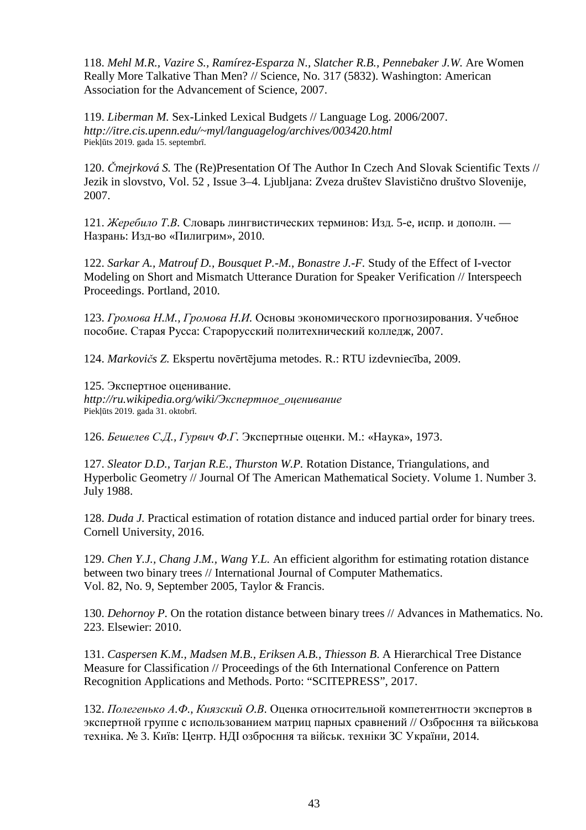118. *Mehl M.R., Vazire S., Ramírez-Esparza N., Slatcher R.B., Pennebaker J.W.* Are Women Really More Talkative Than Men? // Science, No. 317 (5832). Washington: American Association for the Advancement of Science, 2007.

119. *Liberman M.* Sex-Linked Lexical Budgets // Language Log. 2006/2007. *http://itre.cis.upenn.edu/~myl/languagelog/archives/003420.html*  Piekļūts 2019. gada 15. septembrī.

120. *Čmejrková S.* The (Re)Presentation Of The Author In Czech And Slovak Scientific Texts // Jezik in slovstvo, Vol. 52 , Issue 3–4. Ljubljana: Zveza društev Slavistično društvo Slovenije, 2007.

121. *Жеребило Т.В.* Словарь лингвистических терминов: Изд. 5-е, испр. и дополн. — Назрань: Изд-во «Пилигрим», 2010.

122. *Sarkar A., Matrouf D., Bousquet P.-M., Bonastre J.-F.* Study of the Effect of I-vector Modeling on Short and Mismatch Utterance Duration for Speaker Verification // Interspeech Proceedings. Portland, 2010.

123. *Громова Н.М., Громова Н.И.* Основы экономического прогнозирования. Учебное пособие. Старая Русса: Старорусский политехнический колледж, 2007.

124. *Markovičs Z.* Ekspertu novērtējuma metodes. R.: RTU izdevniecība, 2009.

125. Экспертное оценивание. *http://ru.wikipedia.org/wiki/Экспертное\_оценивание* Piekļūts 2019. gada 31. oktobrī.

126. *Бешелев С.Д., Гурвич Ф.Г.* Экспертные оценки. М.: «Наука», 1973.

127. *Sleator D.D., Tarjan R.E., Thurston W.P.* Rotation Distance, Triangulations, and Hyperbolic Geometry // Journal Of The American Mathematical Society. Volume 1. Number 3. July 1988.

128. *Duda J.* Practical estimation of rotation distance and induced partial order for binary trees. Cornell University, 2016.

129. *Chen Y.J., Chang J.M., Wang Y.L.* An efficient algorithm for estimating rotation distance between two binary trees // International Journal of Computer Mathematics. Vol. 82, No. 9, September 2005, Taylor & Francis.

130. *Dehornoy P.* On the rotation distance between binary trees // Advances in Mathematics. No. 223. Elsewier: 2010.

131. *Caspersen K.M., Madsen M.B., Eriksen A.B., Thiesson B*. A Hierarchical Tree Distance Measure for Classification // Proceedings of the 6th International Conference on Pattern Recognition Applications and Methods. Porto: "SCITEPRESS", 2017.

132. *Полегенько А.Ф., Князский О.В.* Оценка относительной компетентности экспертов в экспертной группе с использованием матриц парных сравнений // Озброєння та військова техніка. № 3. Київ: Центр. НДІ озброєння та військ. техніки ЗС України, 2014.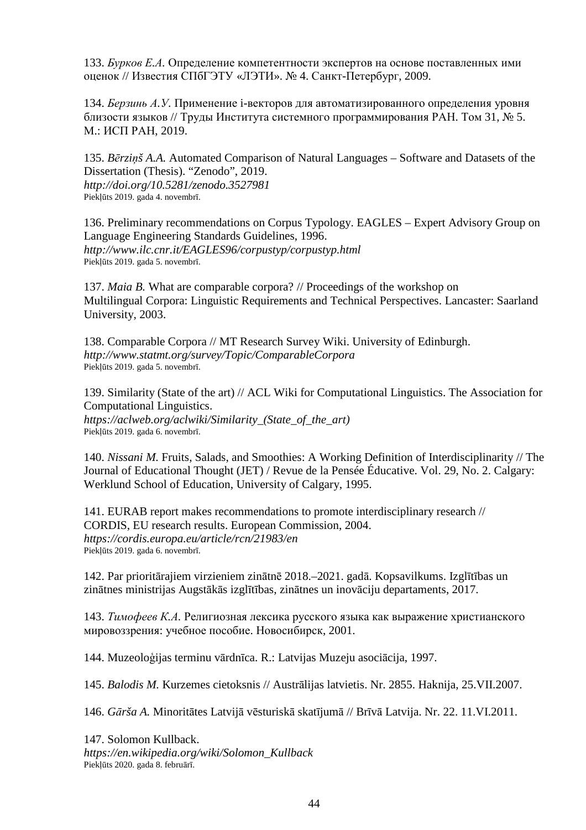133. *Бурков Е.А.* Определение компетентности экспертов на основе поставленных ими оценок // Известия СПбГЭТУ «ЛЭТИ». № 4. Санкт-Петербург, 2009.

134. *Берзинь А.У.* Применение i-векторов для автоматизированного определения уровня близости языков // Труды Института системного программирования РАН. Том 31, № 5. М.: ИСП РАН, 2019.

135. *Bērziņš A.A.* Automated Comparison of Natural Languages – Software and Datasets of the Dissertation (Thesis). "Zenodo", 2019. *http://doi.org/10.5281/zenodo.3527981*  Piekļūts 2019. gada 4. novembrī.

136. Preliminary recommendations on Corpus Typology. EAGLES – Expert Advisory Group on Language Engineering Standards Guidelines, 1996. *http://www.ilc.cnr.it/EAGLES96/corpustyp/corpustyp.html*  Piekļūts 2019. gada 5. novembrī.

137. *Maia B.* What are comparable corpora? // Proceedings of the workshop on Multilingual Corpora: Linguistic Requirements and Technical Perspectives. Lancaster: Saarland University, 2003.

138. Comparable Corpora // MT Research Survey Wiki. University of Edinburgh. *http://www.statmt.org/survey/Topic/ComparableCorpora*  Piekļūts 2019. gada 5. novembrī.

139. Similarity (State of the art) // ACL Wiki for Computational Linguistics. The Association for Computational Linguistics. *https://aclweb.org/aclwiki/Similarity\_(State\_of\_the\_art)*  Piekļūts 2019. gada 6. novembrī.

140. *Nissani M.* Fruits, Salads, and Smoothies: A Working Definition of Interdisciplinarity // The Journal of Educational Thought (JET) / Revue de la Pensée Éducative. Vol. 29, No. 2. Calgary: Werklund School of Education, University of Calgary, 1995.

141. EURAB report makes recommendations to promote interdisciplinary research // CORDIS, EU research results. European Commission, 2004. *https://cordis.europa.eu/article/rcn/21983/en*  Piekļūts 2019. gada 6. novembrī.

142. Par prioritārajiem virzieniem zinātnē 2018.–2021. gadā. Kopsavilkums. Izglītības un zinātnes ministrijas Augstākās izglītības, zinātnes un inovāciju departaments, 2017.

143. *Тимофеев К.А.* Религиозная лексика русского языка как выражение христианского мировоззрения: учебное пособие. Новосибирск, 2001.

144. Muzeoloģijas terminu vārdnīca. R.: Latvijas Muzeju asociācija, 1997.

145. *Balodis M.* Kurzemes cietoksnis // Austrālijas latvietis. Nr. 2855. Haknija, 25.VII.2007.

146. *Gārša A.* Minoritātes Latvijā vēsturiskā skatījumā // Brīvā Latvija. Nr. 22. 11.VI.2011.

147. Solomon Kullback. *https://en.wikipedia.org/wiki/Solomon\_Kullback*  Piekļūts 2020. gada 8. februārī.